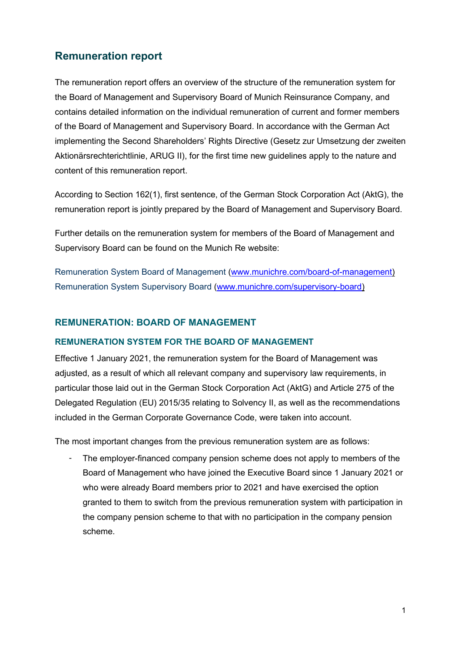## **Remuneration report**

The remuneration report offers an overview of the structure of the remuneration system for the Board of Management and Supervisory Board of Munich Reinsurance Company, and contains detailed information on the individual remuneration of current and former members of the Board of Management and Supervisory Board. In accordance with the German Act implementing the Second Shareholders' Rights Directive (Gesetz zur Umsetzung der zweiten Aktionärsrechterichtlinie, ARUG II), for the first time new guidelines apply to the nature and content of this remuneration report.

According to Section 162(1), first sentence, of the German Stock Corporation Act (AktG), the remuneration report is jointly prepared by the Board of Management and Supervisory Board.

Further details on the remuneration system for members of the Board of Management and Supervisory Board can be found on the Munich Re website:

Remuneration System Board of Management [\(www.munichre.com/board-of-management\)](https://www.munichre.com/en/company/about-munich-re/board-of-management.html) [Remuneration System Supervisory Board](https://www.munichre.com/content/dam/munichre/contentlounge/website-pieces/documents/Remuneration-System-Supervisory-Board.pdf/_jcr_content/renditions/original./Remuneration-System-Supervisory-Board.pdf) [\(www.munichre.com/supervisory-board\)](https://www.munichre.com/en/company/about-munich-re/supervisory-board.html)

### **REMUNERATION: BOARD OF MANAGEMENT**

#### **REMUNERATION SYSTEM FOR THE BOARD OF MANAGEMENT**

Effective 1 January 2021, the remuneration system for the Board of Management was adjusted, as a result of which all relevant company and supervisory law requirements, in particular those laid out in the German Stock Corporation Act (AktG) and Article 275 of the Delegated Regulation (EU) 2015/35 relating to Solvency II, as well as the recommendations included in the German Corporate Governance Code, were taken into account.

The most important changes from the previous remuneration system are as follows:

- The employer-financed company pension scheme does not apply to members of the Board of Management who have joined the Executive Board since 1 January 2021 or who were already Board members prior to 2021 and have exercised the option granted to them to switch from the previous remuneration system with participation in the company pension scheme to that with no participation in the company pension scheme.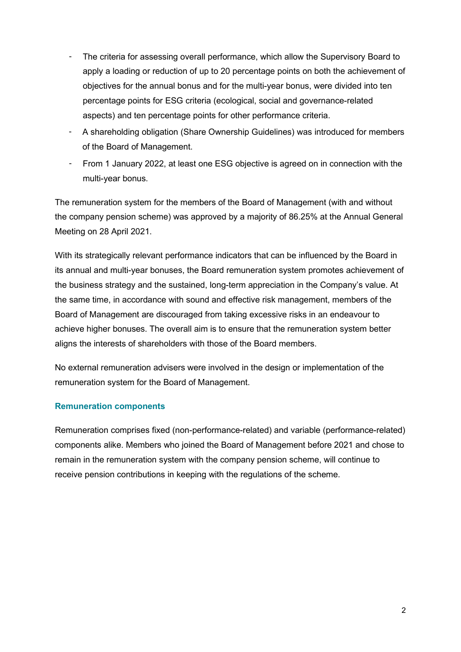- The criteria for assessing overall performance, which allow the Supervisory Board to apply a loading or reduction of up to 20 percentage points on both the achievement of objectives for the annual bonus and for the multi-year bonus, were divided into ten percentage points for ESG criteria (ecological, social and governance-related aspects) and ten percentage points for other performance criteria.
- A shareholding obligation (Share Ownership Guidelines) was introduced for members of the Board of Management.
- From 1 January 2022, at least one ESG objective is agreed on in connection with the multi-year bonus.

The remuneration system for the members of the Board of Management (with and without the company pension scheme) was approved by a majority of 86.25% at the Annual General Meeting on 28 April 2021.

With its strategically relevant performance indicators that can be influenced by the Board in its annual and multi-year bonuses, the Board remuneration system promotes achievement of the business strategy and the sustained, long-term appreciation in the Company's value. At the same time, in accordance with sound and effective risk management, members of the Board of Management are discouraged from taking excessive risks in an endeavour to achieve higher bonuses. The overall aim is to ensure that the remuneration system better aligns the interests of shareholders with those of the Board members.

No external remuneration advisers were involved in the design or implementation of the remuneration system for the Board of Management.

### **Remuneration components**

Remuneration comprises fixed (non-performance-related) and variable (performance-related) components alike. Members who joined the Board of Management before 2021 and chose to remain in the remuneration system with the company pension scheme, will continue to receive pension contributions in keeping with the regulations of the scheme.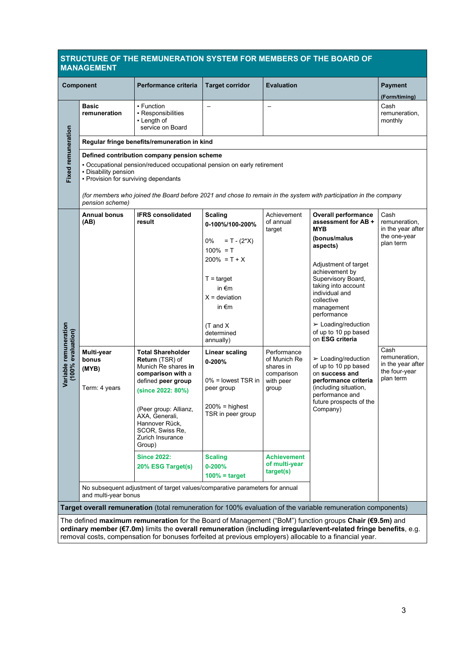#### **STRUCTURE OF THE REMUNERATION SYSTEM FOR MEMBERS OF THE BOARD OF MANAGEMENT**

|                                            | .                                                                                                                                                                                                                   |                                                                                                                                                                                                                           |                                                                                                                                                                                                                                                                                                           |                                                                              |                                                                                                                                                                                                                                                                                                                                                                                                                                                               |                                                                                                       |  |  |  |  |
|--------------------------------------------|---------------------------------------------------------------------------------------------------------------------------------------------------------------------------------------------------------------------|---------------------------------------------------------------------------------------------------------------------------------------------------------------------------------------------------------------------------|-----------------------------------------------------------------------------------------------------------------------------------------------------------------------------------------------------------------------------------------------------------------------------------------------------------|------------------------------------------------------------------------------|---------------------------------------------------------------------------------------------------------------------------------------------------------------------------------------------------------------------------------------------------------------------------------------------------------------------------------------------------------------------------------------------------------------------------------------------------------------|-------------------------------------------------------------------------------------------------------|--|--|--|--|
|                                            | <b>Component</b>                                                                                                                                                                                                    | Performance criteria                                                                                                                                                                                                      | <b>Target corridor</b>                                                                                                                                                                                                                                                                                    | <b>Evaluation</b>                                                            |                                                                                                                                                                                                                                                                                                                                                                                                                                                               | <b>Payment</b><br>(Form/timing)                                                                       |  |  |  |  |
|                                            | <b>Basic</b><br>remuneration                                                                                                                                                                                        | • Function<br>• Responsibilities<br>• Length of<br>service on Board                                                                                                                                                       |                                                                                                                                                                                                                                                                                                           |                                                                              |                                                                                                                                                                                                                                                                                                                                                                                                                                                               | Cash<br>remuneration,<br>monthly                                                                      |  |  |  |  |
|                                            |                                                                                                                                                                                                                     | Regular fringe benefits/remuneration in kind                                                                                                                                                                              |                                                                                                                                                                                                                                                                                                           |                                                                              |                                                                                                                                                                                                                                                                                                                                                                                                                                                               |                                                                                                       |  |  |  |  |
|                                            | <b>Fixed remuneration</b><br>Defined contribution company pension scheme<br>- Occupational pension/reduced occupational pension on early retirement<br>- Disability pension<br>• Provision for surviving dependants |                                                                                                                                                                                                                           |                                                                                                                                                                                                                                                                                                           |                                                                              |                                                                                                                                                                                                                                                                                                                                                                                                                                                               |                                                                                                       |  |  |  |  |
|                                            | pension scheme)                                                                                                                                                                                                     |                                                                                                                                                                                                                           |                                                                                                                                                                                                                                                                                                           |                                                                              | (for members who joined the Board before 2021 and chose to remain in the system with participation in the company                                                                                                                                                                                                                                                                                                                                             |                                                                                                       |  |  |  |  |
|                                            | <b>Annual bonus</b><br>(AB)                                                                                                                                                                                         | <b>IFRS consolidated</b><br>result                                                                                                                                                                                        | <b>Scaling</b><br>0-100%/100-200%                                                                                                                                                                                                                                                                         | Achievement<br>of annual<br>target                                           | <b>Overall performance</b><br>assessment for AB +<br><b>MYB</b>                                                                                                                                                                                                                                                                                                                                                                                               | Cash<br>remuneration.<br>in the year after                                                            |  |  |  |  |
| Variable remuneration<br>(100% evaluation) | Multi-year<br>bonus<br>(MYB)<br>Term: 4 years                                                                                                                                                                       | <b>Total Shareholder</b><br><b>Return (TSR) of</b><br>Munich Re shares in<br>comparison with a<br>defined peer group<br>(since 2022: 80%)<br>(Peer group: Allianz,<br>AXA, Generali,<br>Hannover Rück,<br>SCOR, Swiss Re, | 0%<br>$= T - (2^*X)$<br>$100\% = T$<br>$200\% = T + X$<br>$T = \text{target}$<br>in $\epsilon$ m<br>$X =$ deviation<br>in $\epsilon$ m<br>$(T \text{ and } X)$<br>determined<br>annually)<br>Linear scaling<br>$0 - 200%$<br>$0\%$ = lowest TSR in<br>peer group<br>$200% = highest$<br>TSR in peer group | Performance<br>of Munich Re<br>shares in<br>comparison<br>with peer<br>group | (bonus/malus<br>aspects)<br>Adjustment of target<br>achievement by<br>Supervisory Board,<br>taking into account<br>individual and<br>collective<br>management<br>performance<br>$\triangleright$ Loading/reduction<br>of up to 10 pp based<br>on ESG criteria<br>$\blacktriangleright$ Loading/reduction<br>of up to 10 pp based<br>on success and<br>performance criteria<br>(including situation,<br>performance and<br>future prospects of the<br>Company) | the one-year<br>plan term<br>Cash<br>remuneration,<br>in the year after<br>the four-year<br>plan term |  |  |  |  |
|                                            |                                                                                                                                                                                                                     | Zurich Insurance<br>Group)<br><b>Since 2022:</b>                                                                                                                                                                          | <b>Scaling</b>                                                                                                                                                                                                                                                                                            | <b>Achievement</b>                                                           |                                                                                                                                                                                                                                                                                                                                                                                                                                                               |                                                                                                       |  |  |  |  |
|                                            |                                                                                                                                                                                                                     | 20% ESG Target(s)                                                                                                                                                                                                         | $0 - 200%$<br>$100\%$ = target                                                                                                                                                                                                                                                                            | of multi-year<br>target(s)                                                   |                                                                                                                                                                                                                                                                                                                                                                                                                                                               |                                                                                                       |  |  |  |  |
|                                            | No subsequent adjustment of target values/comparative parameters for annual<br>and multi-year bonus                                                                                                                 |                                                                                                                                                                                                                           |                                                                                                                                                                                                                                                                                                           |                                                                              |                                                                                                                                                                                                                                                                                                                                                                                                                                                               |                                                                                                       |  |  |  |  |
|                                            |                                                                                                                                                                                                                     |                                                                                                                                                                                                                           |                                                                                                                                                                                                                                                                                                           |                                                                              | Target overall remuneration (total remuneration for 100% evaluation of the variable remuneration components)                                                                                                                                                                                                                                                                                                                                                  |                                                                                                       |  |  |  |  |
|                                            |                                                                                                                                                                                                                     |                                                                                                                                                                                                                           |                                                                                                                                                                                                                                                                                                           |                                                                              | The defined maximum remuneration for the Board of Management ("BoM") function groups Chair (€9.5m) and<br>ordinary member (€7.0m) limits the overall remuneration (including irregular/event-related fringe benefits, e.g.                                                                                                                                                                                                                                    |                                                                                                       |  |  |  |  |

removal costs, compensation for bonuses forfeited at previous employers) allocable to a financial year.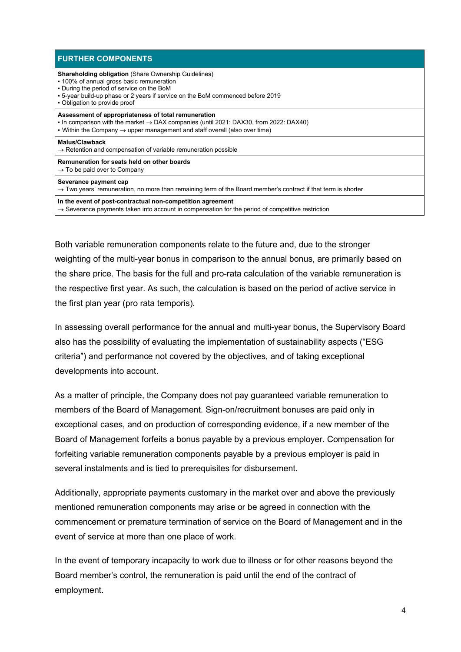| <b>FURTHER COMPONENTS</b>                                                                                                                                                                                                                                                |
|--------------------------------------------------------------------------------------------------------------------------------------------------------------------------------------------------------------------------------------------------------------------------|
| <b>Shareholding obligation (Share Ownership Guidelines)</b><br>• 100% of annual gross basic remuneration<br>. During the period of service on the BoM<br>. 5-year build-up phase or 2 years if service on the BoM commenced before 2019<br>• Obligation to provide proof |
| Assessment of appropriateness of total remuneration<br>In comparison with the market $\rightarrow$ DAX companies (until 2021: DAX30, from 2022: DAX40)<br>• Within the Company $\rightarrow$ upper management and staff overall (also over time)                         |
| <b>Malus/Clawback</b><br>$\rightarrow$ Retention and compensation of variable remuneration possible                                                                                                                                                                      |
| Remuneration for seats held on other boards<br>$\rightarrow$ To be paid over to Company                                                                                                                                                                                  |
| Severance payment cap<br>$\rightarrow$ Two years' remuneration, no more than remaining term of the Board member's contract if that term is shorter                                                                                                                       |
| In the event of post-contractual non-competition agreement<br>$\rightarrow$ Severance payments taken into account in compensation for the period of competitive restriction                                                                                              |

Both variable remuneration components relate to the future and, due to the stronger weighting of the multi-year bonus in comparison to the annual bonus, are primarily based on the share price. The basis for the full and pro-rata calculation of the variable remuneration is the respective first year. As such, the calculation is based on the period of active service in the first plan year (pro rata temporis).

In assessing overall performance for the annual and multi-year bonus, the Supervisory Board also has the possibility of evaluating the implementation of sustainability aspects ("ESG criteria") and performance not covered by the objectives, and of taking exceptional developments into account.

As a matter of principle, the Company does not pay guaranteed variable remuneration to members of the Board of Management. Sign-on/recruitment bonuses are paid only in exceptional cases, and on production of corresponding evidence, if a new member of the Board of Management forfeits a bonus payable by a previous employer. Compensation for forfeiting variable remuneration components payable by a previous employer is paid in several instalments and is tied to prerequisites for disbursement.

Additionally, appropriate payments customary in the market over and above the previously mentioned remuneration components may arise or be agreed in connection with the commencement or premature termination of service on the Board of Management and in the event of service at more than one place of work.

In the event of temporary incapacity to work due to illness or for other reasons beyond the Board member's control, the remuneration is paid until the end of the contract of employment.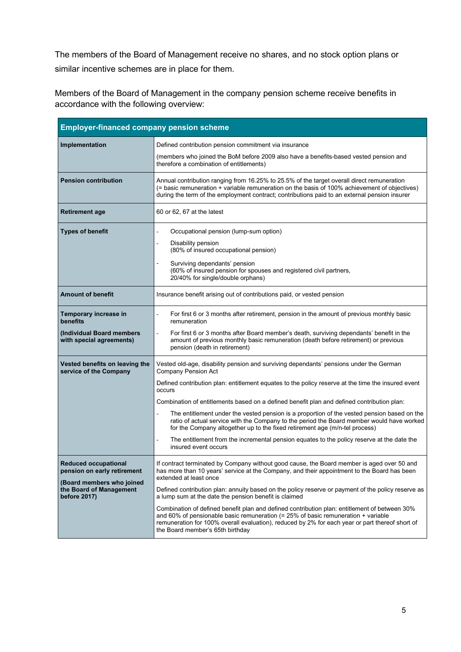The members of the Board of Management receive no shares, and no stock option plans or similar incentive schemes are in place for them.

Members of the Board of Management in the company pension scheme receive benefits in accordance with the following overview:

| <b>Employer-financed company pension scheme</b>                      |                                                                                                                                                                                                                                                                                                                             |
|----------------------------------------------------------------------|-----------------------------------------------------------------------------------------------------------------------------------------------------------------------------------------------------------------------------------------------------------------------------------------------------------------------------|
| Implementation                                                       | Defined contribution pension commitment via insurance<br>(members who joined the BoM before 2009 also have a benefits-based vested pension and                                                                                                                                                                              |
|                                                                      | therefore a combination of entitlements)                                                                                                                                                                                                                                                                                    |
| <b>Pension contribution</b>                                          | Annual contribution ranging from 16.25% to 25.5% of the target overall direct remuneration<br>(= basic remuneration + variable remuneration on the basis of 100% achievement of objectives)<br>during the term of the employment contract; contributions paid to an external pension insurer                                |
| <b>Retirement age</b>                                                | 60 or 62, 67 at the latest                                                                                                                                                                                                                                                                                                  |
| <b>Types of benefit</b>                                              | Occupational pension (lump-sum option)<br>÷.<br>Disability pension<br>÷,<br>(80% of insured occupational pension)<br>Surviving dependants' pension<br>(60% of insured pension for spouses and registered civil partners,<br>20/40% for single/double orphans)                                                               |
| <b>Amount of benefit</b>                                             | Insurance benefit arising out of contributions paid, or vested pension                                                                                                                                                                                                                                                      |
| Temporary increase in<br>benefits                                    | For first 6 or 3 months after retirement, pension in the amount of previous monthly basic<br>remuneration                                                                                                                                                                                                                   |
| (Individual Board members<br>with special agreements)                | For first 6 or 3 months after Board member's death, surviving dependants' benefit in the<br>÷,<br>amount of previous monthly basic remuneration (death before retirement) or previous<br>pension (death in retirement)                                                                                                      |
| Vested benefits on leaving the<br>service of the Company             | Vested old-age, disability pension and surviving dependants' pensions under the German<br>Company Pension Act<br>Defined contribution plan: entitlement equates to the policy reserve at the time the insured event<br>occurs                                                                                               |
|                                                                      | Combination of entitlements based on a defined benefit plan and defined contribution plan:                                                                                                                                                                                                                                  |
|                                                                      | The entitlement under the vested pension is a proportion of the vested pension based on the<br>÷,<br>ratio of actual service with the Company to the period the Board member would have worked<br>for the Company altogether up to the fixed retirement age (m/n-tel process)                                               |
|                                                                      | The entitlement from the incremental pension equates to the policy reserve at the date the<br>insured event occurs                                                                                                                                                                                                          |
| <b>Reduced occupational</b><br>pension on early retirement           | If contract terminated by Company without good cause, the Board member is aged over 50 and<br>has more than 10 years' service at the Company, and their appointment to the Board has been<br>extended at least once                                                                                                         |
| (Board members who joined<br>the Board of Management<br>before 2017) | Defined contribution plan: annuity based on the policy reserve or payment of the policy reserve as<br>a lump sum at the date the pension benefit is claimed                                                                                                                                                                 |
|                                                                      | Combination of defined benefit plan and defined contribution plan: entitlement of between 30%<br>and 60% of pensionable basic remuneration (= $25%$ of basic remuneration + variable<br>remuneration for 100% overall evaluation), reduced by 2% for each year or part thereof short of<br>the Board member's 65th birthday |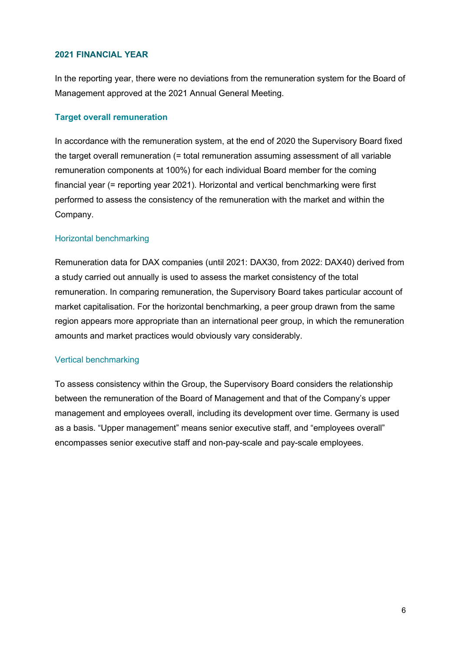#### **2021 FINANCIAL YEAR**

In the reporting year, there were no deviations from the remuneration system for the Board of Management approved at the 2021 Annual General Meeting.

### **Target overall remuneration**

In accordance with the remuneration system, at the end of 2020 the Supervisory Board fixed the target overall remuneration (= total remuneration assuming assessment of all variable remuneration components at 100%) for each individual Board member for the coming financial year (= reporting year 2021). Horizontal and vertical benchmarking were first performed to assess the consistency of the remuneration with the market and within the Company.

### Horizontal benchmarking

Remuneration data for DAX companies (until 2021: DAX30, from 2022: DAX40) derived from a study carried out annually is used to assess the market consistency of the total remuneration. In comparing remuneration, the Supervisory Board takes particular account of market capitalisation. For the horizontal benchmarking, a peer group drawn from the same region appears more appropriate than an international peer group, in which the remuneration amounts and market practices would obviously vary considerably.

#### Vertical benchmarking

To assess consistency within the Group, the Supervisory Board considers the relationship between the remuneration of the Board of Management and that of the Company's upper management and employees overall, including its development over time. Germany is used as a basis. "Upper management" means senior executive staff, and "employees overall" encompasses senior executive staff and non-pay-scale and pay-scale employees.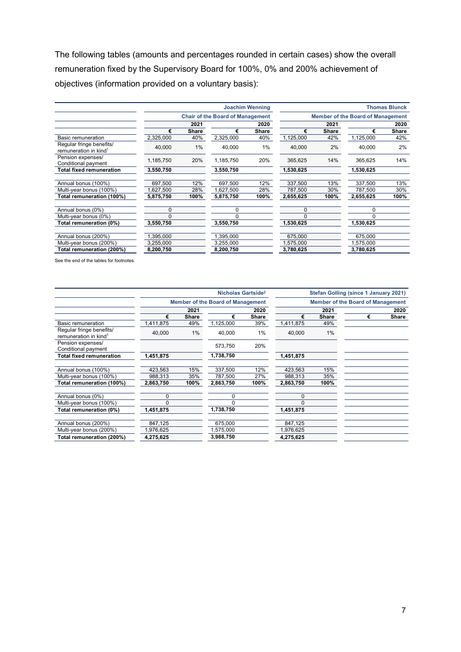The following tables (amounts and percentages rounded in certain cases) show the overall remuneration fixed by the Supervisory Board for 100%, 0% and 200% achievement of objectives (information provided on a voluntary basis):

|                                                               | <b>Joachim Wenning</b> |                                         |           |       | <b>Thomas Blunck</b>                     |              |           |       |  |
|---------------------------------------------------------------|------------------------|-----------------------------------------|-----------|-------|------------------------------------------|--------------|-----------|-------|--|
|                                                               |                        | <b>Chair of the Board of Management</b> |           |       | <b>Member of the Board of Management</b> |              |           |       |  |
|                                                               |                        | 2021                                    |           | 2020  |                                          | 2021         |           | 2020  |  |
|                                                               | €                      | <b>Share</b>                            | €         | Share | €                                        | <b>Share</b> | €         | Share |  |
| Basic remuneration                                            | 2,325,000              | 40%                                     | 2,325,000 | 40%   | 1,125,000                                | 42%          | 1,125,000 | 42%   |  |
| Regular fringe benefits/<br>remuneration in kind <sup>1</sup> | 40,000                 | 1%                                      | 40.000    | 1%    | 40.000                                   | 2%           | 40.000    | 2%    |  |
| Pension expenses/<br>Conditional payment                      | 1,185,750              | 20%                                     | 1,185,750 | 20%   | 365,625                                  | 14%          | 365,625   | 14%   |  |
| <b>Total fixed remuneration</b>                               | 3,550,750              |                                         | 3,550,750 |       | 1,530,625                                |              | 1,530,625 |       |  |
|                                                               |                        |                                         |           |       |                                          |              |           |       |  |
| Annual bonus (100%)                                           | 697,500                | 12%                                     | 697,500   | 12%   | 337,500                                  | 13%          | 337,500   | 13%   |  |
| Multi-year bonus (100%)                                       | ,627,500               | 28%                                     | .627,500  | 28%   | 787,500                                  | 30%          | 787,500   | 30%   |  |
| Total remuneration (100%)                                     | 5,875,750              | 100%                                    | 5,875,750 | 100%  | 2,655,625                                | 100%         | 2,655,625 | 100%  |  |
| Annual bonus (0%)                                             | 0                      |                                         | 0         |       | $\Omega$                                 |              | $\Omega$  |       |  |
| Multi-year bonus (0%)                                         | <sup>0</sup>           |                                         | $\Omega$  |       |                                          |              | $\Omega$  |       |  |
| Total remuneration (0%)                                       | 3,550,750              |                                         | 3,550,750 |       | 1,530,625                                |              | 1,530,625 |       |  |
| Annual bonus (200%)                                           | ,395,000               |                                         | 1,395,000 |       | 675,000                                  |              | 675,000   |       |  |
| Multi-year bonus (200%)                                       | 3,255,000              |                                         | 3,255,000 |       | 1,575,000                                |              | 1,575,000 |       |  |
| Total remuneration (200%)                                     | 8,200,750              |                                         | 8,200,750 |       | 3,780,625                                |              | 3,780,625 |       |  |

See the end of the tables for footnotes.

|                                                               |           | Nicholas Gartside <sup>2</sup>           |           |       |           | <b>Stefan Golling (since 1 January 2021)</b> |   |       |  |
|---------------------------------------------------------------|-----------|------------------------------------------|-----------|-------|-----------|----------------------------------------------|---|-------|--|
|                                                               |           | <b>Member of the Board of Management</b> |           |       |           | <b>Member of the Board of Management</b>     |   |       |  |
|                                                               |           | 2021                                     |           | 2020  |           | 2021                                         |   |       |  |
|                                                               | €         | Share                                    | €         | Share | €         | Share                                        | € | Share |  |
| Basic remuneration                                            | 1,411,875 | 49%                                      | 1,125,000 | 39%   | 1,411,875 | 49%                                          |   |       |  |
| Regular fringe benefits/<br>remuneration in kind <sup>1</sup> | 40,000    | 1%                                       | 40,000    | 1%    | 40,000    | 1%                                           |   |       |  |
| Pension expenses/<br>Conditional payment                      |           |                                          | 573,750   | 20%   |           |                                              |   |       |  |
| <b>Total fixed remuneration</b>                               | 1,451,875 |                                          | 1,738,750 |       | 1,451,875 |                                              |   |       |  |
|                                                               |           |                                          |           |       |           |                                              |   |       |  |
| Annual bonus (100%)                                           | 423.563   | 15%                                      | 337.500   | 12%   | 423,563   | 15%                                          |   |       |  |
| Multi-year bonus (100%)                                       | 988,313   | 35%                                      | 787,500   | 27%   | 988,313   | 35%                                          |   |       |  |
| Total remuneration (100%)                                     | 2,863,750 | 100%                                     | 2,863,750 | 100%  | 2,863,750 | 100%                                         |   |       |  |
| Annual bonus (0%)                                             | 0         |                                          |           |       | $\Omega$  |                                              |   |       |  |
| Multi-year bonus (100%)                                       |           |                                          |           |       | $\Omega$  |                                              |   |       |  |
| Total remuneration (0%)                                       | 1,451,875 |                                          | 1,738,750 |       | 1,451,875 |                                              |   |       |  |
|                                                               |           |                                          |           |       |           |                                              |   |       |  |
| Annual bonus (200%)                                           | 847,125   |                                          | 675,000   |       | 847,125   |                                              |   |       |  |
| Multi-year bonus (200%)                                       | 1,976,625 |                                          | 1,575,000 |       | 1,976,625 |                                              |   |       |  |
| Total remuneration (200%)                                     | 4,275,625 |                                          | 3,988,750 |       | 4,275,625 |                                              |   |       |  |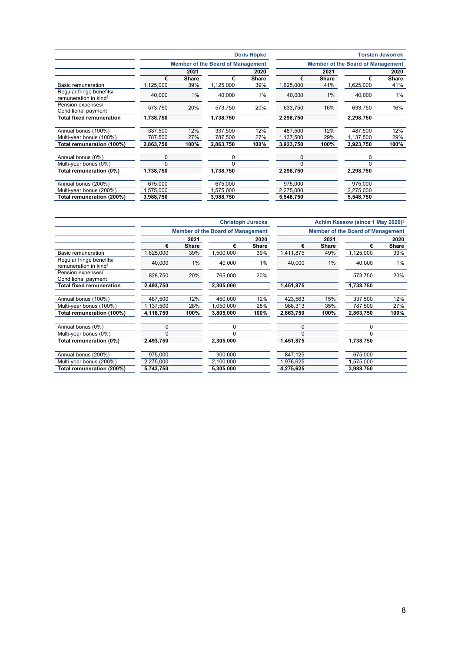|                                                               |           |                                          |           | Doris Höpke |           |                                          |           | <b>Torsten Jeworrek</b> |  |
|---------------------------------------------------------------|-----------|------------------------------------------|-----------|-------------|-----------|------------------------------------------|-----------|-------------------------|--|
|                                                               |           | <b>Member of the Board of Management</b> |           |             |           | <b>Member of the Board of Management</b> |           |                         |  |
|                                                               |           | 2021                                     |           | 2020        |           | 2021                                     | 2020      |                         |  |
|                                                               | €         | <b>Share</b>                             | €         | Share       | €         | <b>Share</b>                             | €         | <b>Share</b>            |  |
| <b>Basic remuneration</b>                                     | 1,125,000 | 39%                                      | 1,125,000 | 39%         | 1,625,000 | 41%                                      | 1,625,000 | 41%                     |  |
| Regular fringe benefits/<br>remuneration in kind <sup>1</sup> | 40.000    | 1%                                       | 40,000    | 1%          | 40.000    | 1%                                       | 40.000    | 1%                      |  |
| Pension expenses/<br>Conditional payment                      | 573,750   | 20%                                      | 573,750   | 20%         | 633,750   | 16%                                      | 633,750   | 16%                     |  |
| Total fixed remuneration                                      | 1,738,750 |                                          | 1,738,750 |             | 2,298,750 |                                          | 2,298,750 |                         |  |
| Annual bonus (100%)                                           | 337,500   | 12%                                      | 337.500   | 12%         | 487,500   | 12%                                      | 487,500   | 12%                     |  |
| Multi-year bonus (100%)                                       | 787,500   | 27%                                      | 787,500   | 27%         | 1,137,500 | 29%                                      | 1,137,500 | 29%                     |  |
| Total remuneration (100%)                                     | 2,863,750 | 100%                                     | 2,863,750 | 100%        | 3,923,750 | 100%                                     | 3,923,750 | 100%                    |  |
| Annual bonus (0%)                                             | 0         |                                          | 0         |             | 0         |                                          | 0         |                         |  |
| Multi-year bonus (0%)                                         | $\Omega$  |                                          | n         |             | $\Omega$  |                                          |           |                         |  |
| Total remuneration (0%)                                       | 1,738,750 |                                          | 1,738,750 |             | 2,298,750 |                                          | 2,298,750 |                         |  |
| Annual bonus (200%)                                           | 675,000   |                                          | 675,000   |             | 975,000   |                                          | 975,000   |                         |  |
| Multi-year bonus (200%)                                       | 1,575,000 |                                          | 1,575,000 |             | 2,275,000 |                                          | 2,275,000 |                         |  |
| Total remuneration (200%)                                     | 3,988,750 |                                          | 3,988,750 |             | 5,548,750 |                                          | 5,548,750 |                         |  |

|                                                               | <b>Christoph Jurecka</b>                 |              |           |       | Achim Kassow (since 1 May 2020) <sup>3</sup> |       |           |              |
|---------------------------------------------------------------|------------------------------------------|--------------|-----------|-------|----------------------------------------------|-------|-----------|--------------|
|                                                               | <b>Member of the Board of Management</b> |              |           |       | <b>Member of the Board of Management</b>     |       |           |              |
|                                                               |                                          | 2021         |           | 2020  |                                              | 2021  | 2020      |              |
|                                                               | €                                        | <b>Share</b> | €         | Share | €                                            | Share | €         | <b>Share</b> |
| Basic remuneration                                            | 1,625,000                                | 39%          | 1,500,000 | 39%   | 1,411,875                                    | 49%   | 1,125,000 | 39%          |
| Regular fringe benefits/<br>remuneration in kind <sup>1</sup> | 40,000                                   | 1%           | 40,000    | 1%    | 40,000                                       | 1%    | 40,000    | 1%           |
| Pension expenses/<br>Conditional payment                      | 828,750                                  | 20%          | 765,000   | 20%   |                                              |       | 573,750   | 20%          |
| <b>Total fixed remuneration</b>                               | 2,493,750                                |              | 2,305,000 |       | 1,451,875                                    |       | 1,738,750 |              |
| Annual bonus (100%)                                           | 487,500                                  | 12%          | 450,000   | 12%   | 423,563                                      | 15%   | 337,500   | 12%          |
| Multi-year bonus (100%)                                       | 1,137,500                                | 28%          | 1,050,000 | 28%   | 988,313                                      | 35%   | 787,500   | 27%          |
| Total remuneration (100%)                                     | 4,118,750                                | 100%         | 3,805,000 | 100%  | 2,863,750                                    | 100%  | 2,863,750 | 100%         |
| Annual bonus (0%)                                             | 0                                        |              | 0         |       | $\Omega$                                     |       | $\Omega$  |              |
| Multi-year bonus (0%)                                         |                                          |              | $\Omega$  |       | $\Omega$                                     |       |           |              |
| Total remuneration (0%)                                       | 2,493,750                                |              | 2,305,000 |       | 1,451,875                                    |       | 1,738,750 |              |
| Annual bonus (200%)                                           | 975,000                                  |              | 900,000   |       | 847,125                                      |       | 675,000   |              |
| Multi-year bonus (200%)                                       | 2,275,000                                |              | 2,100,000 |       | 1,976,625                                    |       | ,575,000  |              |
| Total remuneration (200%)                                     | 5,743,750                                |              | 5,305,000 |       | 4,275,625                                    |       | 3,988,750 |              |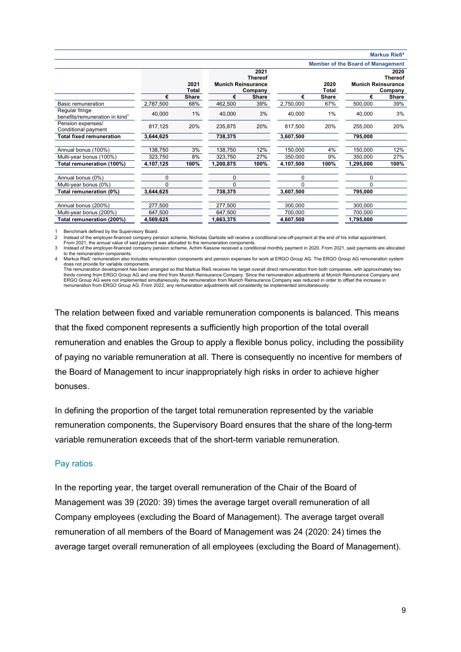#### **Markus Rieß4**

|  |  | <b>Member of the Board of Management</b> |
|--|--|------------------------------------------|
|  |  |                                          |

|                                                              |           |       |                           |                |           |       | <b>Member of the board of Management</b> |              |
|--------------------------------------------------------------|-----------|-------|---------------------------|----------------|-----------|-------|------------------------------------------|--------------|
|                                                              |           |       |                           | 2021           |           |       |                                          | 2020         |
|                                                              |           |       |                           | <b>Thereof</b> |           |       | Thereof                                  |              |
|                                                              |           | 2021  | <b>Munich Reinsurance</b> |                |           | 2020  | <b>Munich Reinsurance</b>                |              |
|                                                              |           | Total |                           | Company        |           | Total |                                          | Company      |
|                                                              | €         | Share | €                         | <b>Share</b>   | €         | Share | €                                        | <b>Share</b> |
| Basic remuneration                                           | 2,787,500 | 68%   | 462,500                   | 39%            | 2,750,000 | 67%   | 500,000                                  | 39%          |
| Regular fringe<br>benefits/remuneration in kind <sup>1</sup> | 40,000    | 1%    | 40,000                    | 3%             | 40,000    | 1%    | 40,000                                   | 3%           |
| Pension expenses/<br>Conditional payment                     | 817,125   | 20%   | 235,875                   | 20%            | 817,500   | 20%   | 255,000                                  | 20%          |
| <b>Total fixed remuneration</b>                              | 3,644,625 |       | 738,375                   |                | 3,607,500 |       | 795,000                                  |              |
|                                                              |           |       |                           |                |           |       |                                          |              |
| Annual bonus (100%)                                          | 138,750   | 3%    | 138,750                   | 12%            | 150,000   | 4%    | 150,000                                  | 12%          |
| Multi-year bonus (100%)                                      | 323,750   | 8%    | 323,750                   | 27%            | 350,000   | 9%    | 350,000                                  | 27%          |
| Total remuneration (100%)                                    | 4,107,125 | 100%  | 1,200,875                 | 100%           | 4,107,500 | 100%  | 1,295,000                                | 100%         |
| Annual bonus (0%)                                            | $\Omega$  |       | 0                         |                | $\Omega$  |       | $\Omega$                                 |              |
| Multi-year bonus (0%)                                        | $\Omega$  |       | $\Omega$                  |                | $\Omega$  |       | $\Omega$                                 |              |
| Total remuneration (0%)                                      | 3,644,625 |       | 738,375                   |                | 3,607,500 |       | 795,000                                  |              |
|                                                              |           |       |                           |                |           |       |                                          |              |
| Annual bonus (200%)                                          | 277,500   |       | 277,500                   |                | 300,000   |       | 300,000                                  |              |
| Multi-year bonus (200%)                                      | 647,500   |       | 647,500                   |                | 700,000   |       | 700,000                                  |              |
| Total remuneration (200%)                                    | 4,569,625 |       | 1,663,375                 |                | 4,607,500 |       | 1,795,000                                |              |

1 Benchmark defined by the Supervisory Board.<br>2 Instead of the employer-financed company per

Instead of the employer-financed company pension scheme, Nicholas Gartside will receive a conditional one-off-payment at the end of his initial appointment.

From 2021, the annual value of said payment was allocated to the remuneration components.<br>3 Instead of the employer-financed company pension scheme, Achim Kassow received a conditional monthly payment in 2020. From 2021,

to the remuneration components.

4 Markus Rieß' remuneration also includes remuneration components and pension expenses for work at ERGO Group AG. The ERGO Group AG remuneration system does not provide for variable components.<br>The remuneration development has been arranged so that Markus Rieß receives his target overall direct remuneration from both companies, with approximately two

thirds coming from ERGO Group AG and one third from Munich Reinsurance Company. Since the remuneration adjustments at Munich Reinsurance Company and<br>ERGO Group AG were not implemented simultaneously, the remuneration from remuneration from ERGO Group AG. From 2022, any remuneration adjustments will consistently be implemented simultaneously.

The relation between fixed and variable remuneration components is balanced. This means that the fixed component represents a sufficiently high proportion of the total overall remuneration and enables the Group to apply a flexible bonus policy, including the possibility of paying no variable remuneration at all. There is consequently no incentive for members of the Board of Management to incur inappropriately high risks in order to achieve higher bonuses.

In defining the proportion of the target total remuneration represented by the variable remuneration components, the Supervisory Board ensures that the share of the long-term variable remuneration exceeds that of the short-term variable remuneration.

#### Pay ratios

In the reporting year, the target overall remuneration of the Chair of the Board of Management was 39 (2020: 39) times the average target overall remuneration of all Company employees (excluding the Board of Management). The average target overall remuneration of all members of the Board of Management was 24 (2020: 24) times the average target overall remuneration of all employees (excluding the Board of Management).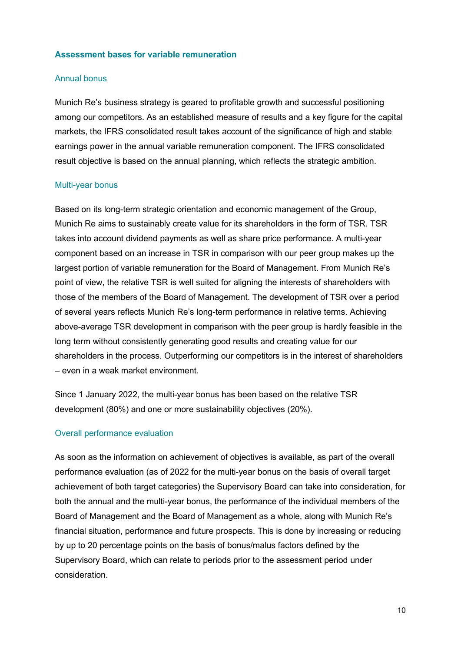#### **Assessment bases for variable remuneration**

#### Annual bonus

Munich Re's business strategy is geared to profitable growth and successful positioning among our competitors. As an established measure of results and a key figure for the capital markets, the IFRS consolidated result takes account of the significance of high and stable earnings power in the annual variable remuneration component. The IFRS consolidated result objective is based on the annual planning, which reflects the strategic ambition.

#### Multi-year bonus

Based on its long-term strategic orientation and economic management of the Group, Munich Re aims to sustainably create value for its shareholders in the form of TSR. TSR takes into account dividend payments as well as share price performance. A multi-year component based on an increase in TSR in comparison with our peer group makes up the largest portion of variable remuneration for the Board of Management. From Munich Re's point of view, the relative TSR is well suited for aligning the interests of shareholders with those of the members of the Board of Management. The development of TSR over a period of several years reflects Munich Re's long-term performance in relative terms. Achieving above-average TSR development in comparison with the peer group is hardly feasible in the long term without consistently generating good results and creating value for our shareholders in the process. Outperforming our competitors is in the interest of shareholders – even in a weak market environment.

Since 1 January 2022, the multi-year bonus has been based on the relative TSR development (80%) and one or more sustainability objectives (20%).

#### Overall performance evaluation

As soon as the information on achievement of objectives is available, as part of the overall performance evaluation (as of 2022 for the multi-year bonus on the basis of overall target achievement of both target categories) the Supervisory Board can take into consideration, for both the annual and the multi-year bonus, the performance of the individual members of the Board of Management and the Board of Management as a whole, along with Munich Re's financial situation, performance and future prospects. This is done by increasing or reducing by up to 20 percentage points on the basis of bonus/malus factors defined by the Supervisory Board, which can relate to periods prior to the assessment period under consideration.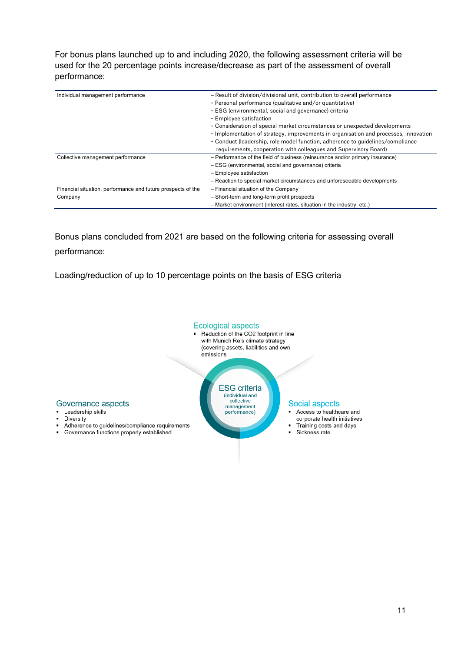For bonus plans launched up to and including 2020, the following assessment criteria will be used for the 20 percentage points increase/decrease as part of the assessment of overall performance:

| Individual management performance                            | - Result of division/divisional unit, contribution to overall performance<br>- Personal performance (qualitative and/or quantitative)<br>- ESG (environmental, social and governance) criteria<br>- Employee satisfaction<br>- Consideration of special market circumstances or unexpected developments<br>- Implementation of strategy, improvements in organisation and processes, innovation<br>- Conduct (leadership, role model function, adherence to quidelines/compliance |
|--------------------------------------------------------------|-----------------------------------------------------------------------------------------------------------------------------------------------------------------------------------------------------------------------------------------------------------------------------------------------------------------------------------------------------------------------------------------------------------------------------------------------------------------------------------|
|                                                              | requirements, cooperation with colleagues and Supervisory Board)                                                                                                                                                                                                                                                                                                                                                                                                                  |
| Collective management performance                            | - Performance of the field of business (reinsurance and/or primary insurance)                                                                                                                                                                                                                                                                                                                                                                                                     |
|                                                              | - ESG (environmental, social and governance) criteria                                                                                                                                                                                                                                                                                                                                                                                                                             |
|                                                              | $-$ Employee satisfaction                                                                                                                                                                                                                                                                                                                                                                                                                                                         |
|                                                              | - Reaction to special market circumstances and unforeseeable developments                                                                                                                                                                                                                                                                                                                                                                                                         |
| Financial situation, performance and future prospects of the | - Financial situation of the Company                                                                                                                                                                                                                                                                                                                                                                                                                                              |
| Company                                                      | - Short-term and long-term profit prospects                                                                                                                                                                                                                                                                                                                                                                                                                                       |
|                                                              | - Market environment (interest rates, situation in the industry, etc.)                                                                                                                                                                                                                                                                                                                                                                                                            |

Bonus plans concluded from 2021 are based on the following criteria for assessing overall performance:

Loading/reduction of up to 10 percentage points on the basis of ESG criteria



#### Governance aspects

- Leadership skills
- · Diversity
- Adherence to guidelines/compliance requirements
- Governance functions properly established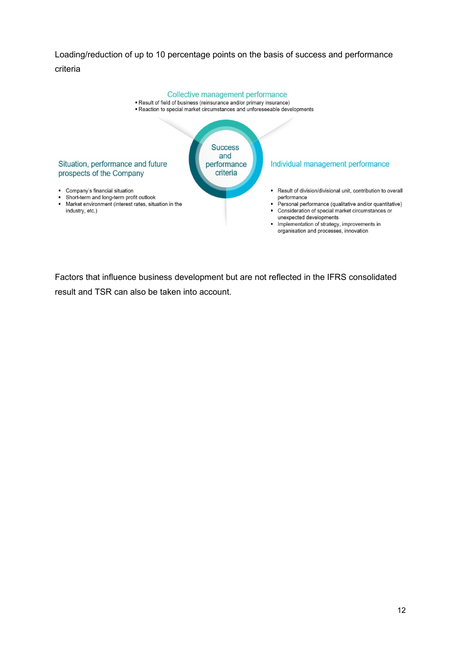### Loading/reduction of up to 10 percentage points on the basis of success and performance criteria



Factors that influence business development but are not reflected in the IFRS consolidated result and TSR can also be taken into account.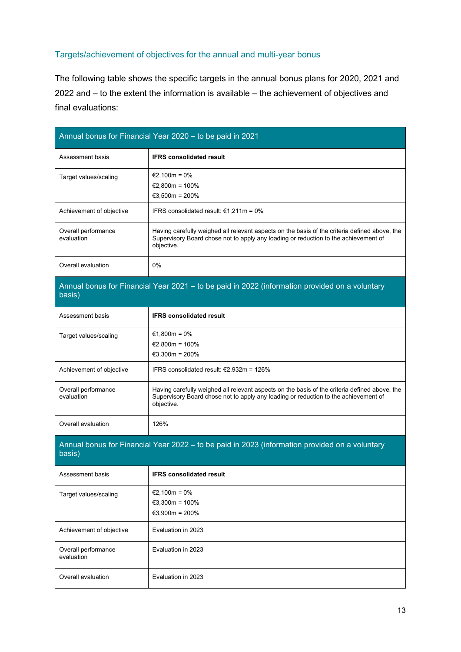### Targets/achievement of objectives for the annual and multi-year bonus

The following table shows the specific targets in the annual bonus plans for 2020, 2021 and 2022 and – to the extent the information is available – the achievement of objectives and final evaluations:

|                                   | Annual bonus for Financial Year 2020 - to be paid in 2021                                                                                                                                          |
|-----------------------------------|----------------------------------------------------------------------------------------------------------------------------------------------------------------------------------------------------|
| Assessment basis                  | <b>IFRS consolidated result</b>                                                                                                                                                                    |
| Target values/scaling             | €2,100m = $0\%$<br>€2,800m = 100%                                                                                                                                                                  |
|                                   | €3,500m = 200%                                                                                                                                                                                     |
| Achievement of objective          | IFRS consolidated result: $€1,211m = 0%$                                                                                                                                                           |
| Overall performance<br>evaluation | Having carefully weighed all relevant aspects on the basis of the criteria defined above, the<br>Supervisory Board chose not to apply any loading or reduction to the achievement of<br>objective. |
| Overall evaluation                | 0%                                                                                                                                                                                                 |
| basis)                            | Annual bonus for Financial Year 2021 - to be paid in 2022 (information provided on a voluntary                                                                                                     |
| Assessment basis                  | <b>IFRS consolidated result</b>                                                                                                                                                                    |
| Target values/scaling             | €1,800m = $0\%$                                                                                                                                                                                    |
|                                   | €2,800m = $100\%$                                                                                                                                                                                  |
|                                   | €3,300m = 200%                                                                                                                                                                                     |
| Achievement of objective          | IFRS consolidated result: €2,932m = 126%                                                                                                                                                           |
| Overall performance<br>evaluation | Having carefully weighed all relevant aspects on the basis of the criteria defined above, the<br>Supervisory Board chose not to apply any loading or reduction to the achievement of<br>objective. |
| Overall evaluation                | 126%                                                                                                                                                                                               |
| basis)                            | Annual bonus for Financial Year 2022 – to be paid in 2023 (information provided on a voluntary                                                                                                     |
| Assessment basis                  | <b>IFRS consolidated result</b>                                                                                                                                                                    |
| Target values/scaling             | €2,100m = $0\%$                                                                                                                                                                                    |
|                                   | €3,300m = $100%$                                                                                                                                                                                   |
|                                   | €3,900m = 200%                                                                                                                                                                                     |
| Achievement of objective          | Evaluation in 2023                                                                                                                                                                                 |
| Overall performance<br>evaluation | Evaluation in 2023                                                                                                                                                                                 |
| Overall evaluation                | Evaluation in 2023                                                                                                                                                                                 |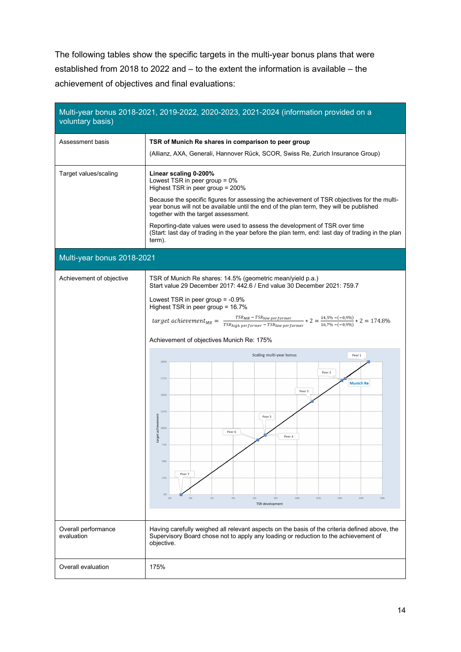The following tables show the specific targets in the multi-year bonus plans that were established from 2018 to 2022 and – to the extent the information is available – the achievement of objectives and final evaluations:

| voluntary basis)                  | Multi-year bonus 2018-2021, 2019-2022, 2020-2023, 2021-2024 (information provided on a                                                                                                                                                                                                                                                                                                                                                                                                                                                                                                                                                                                                                                                                               |  |  |  |  |  |
|-----------------------------------|----------------------------------------------------------------------------------------------------------------------------------------------------------------------------------------------------------------------------------------------------------------------------------------------------------------------------------------------------------------------------------------------------------------------------------------------------------------------------------------------------------------------------------------------------------------------------------------------------------------------------------------------------------------------------------------------------------------------------------------------------------------------|--|--|--|--|--|
| Assessment basis                  | TSR of Munich Re shares in comparison to peer group<br>(Allianz, AXA, Generali, Hannover Rück, SCOR, Swiss Re, Zurich Insurance Group)                                                                                                                                                                                                                                                                                                                                                                                                                                                                                                                                                                                                                               |  |  |  |  |  |
| Target values/scaling             | Linear scaling 0-200%<br>Lowest TSR in peer group = 0%<br>Highest TSR in peer group = 200%<br>Because the specific figures for assessing the achievement of TSR objectives for the multi-<br>year bonus will not be available until the end of the plan term, they will be published<br>together with the target assessment.<br>Reporting-date values were used to assess the development of TSR over time<br>(Start: last day of trading in the year before the plan term, end: last day of trading in the plan<br>term).                                                                                                                                                                                                                                           |  |  |  |  |  |
| Multi-year bonus 2018-2021        |                                                                                                                                                                                                                                                                                                                                                                                                                                                                                                                                                                                                                                                                                                                                                                      |  |  |  |  |  |
| Achievement of objective          | TSR of Munich Re shares: 14.5% (geometric mean/yield p.a.)<br>Start value 29 December 2017: 442.6 / End value 30 December 2021: 759.7<br>Lowest TSR in peer group = -0.9%<br>Highest TSR in peer group = 16.7%<br>target achievement <sub>MR</sub> = $\frac{TSR_{MR} - TSR_{low\,performer}}{TSR_{high\,performer} - TSR_{low\,performer}} * 2 = \frac{14.5\% - (-0.9\%)}{16.7\% - (-0.9\%)} * 2 = 174.8\%$<br>Achievement of objectives Munich Re: 175%<br>Scaling multi-year bonus<br>Peer 1<br>200%<br>Peer 2<br>175%<br><b>Munich Re</b><br>Peer 3<br>150%<br>125%<br>target achievement<br>Peer 5<br>100%<br>Peer 6<br>Peer 4<br>75%<br>50%<br>Peer 7<br>25%<br>0%<br>4%<br>10%<br>12%<br>$-2%$<br>0%<br>2%<br>6%<br>8%<br>14%<br>16%<br>18%<br>TSR-development |  |  |  |  |  |
| Overall performance<br>evaluation | Having carefully weighed all relevant aspects on the basis of the criteria defined above, the<br>Supervisory Board chose not to apply any loading or reduction to the achievement of<br>objective.                                                                                                                                                                                                                                                                                                                                                                                                                                                                                                                                                                   |  |  |  |  |  |
| Overall evaluation                | 175%                                                                                                                                                                                                                                                                                                                                                                                                                                                                                                                                                                                                                                                                                                                                                                 |  |  |  |  |  |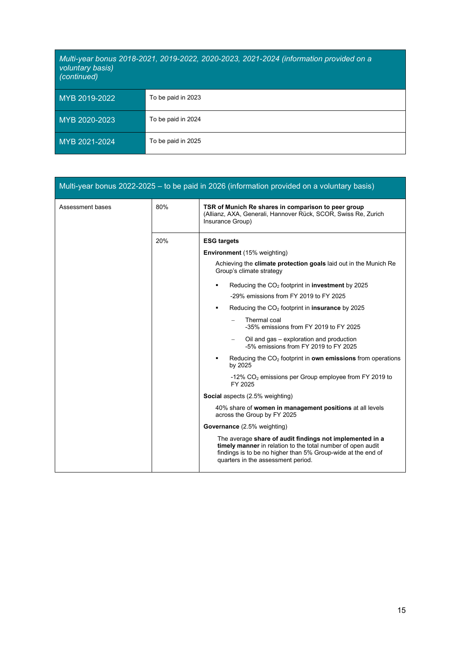# *Multi-year bonus 2018-2021, 2019-2022, 2020-2023, 2021-2024 (information provided on a voluntary basis) (continued)* MYB 2019-2022 To be paid in 2023 MYB 2020-2023 To be paid in 2024 MYB 2021-2024 To be paid in 2025

|                  |     | Multi-year bonus 2022-2025 - to be paid in 2026 (information provided on a voluntary basis)                                                                                                                                   |
|------------------|-----|-------------------------------------------------------------------------------------------------------------------------------------------------------------------------------------------------------------------------------|
| Assessment bases | 80% | TSR of Munich Re shares in comparison to peer group<br>(Allianz, AXA, Generali, Hannover Rück, SCOR, Swiss Re, Zurich<br>Insurance Group)                                                                                     |
|                  | 20% | <b>ESG targets</b>                                                                                                                                                                                                            |
|                  |     | <b>Environment</b> (15% weighting)                                                                                                                                                                                            |
|                  |     | Achieving the climate protection goals laid out in the Munich Re<br>Group's climate strategy                                                                                                                                  |
|                  |     | Reducing the $CO2$ footprint in <b>investment</b> by 2025<br>٠                                                                                                                                                                |
|                  |     | -29% emissions from FY 2019 to FY 2025                                                                                                                                                                                        |
|                  |     | Reducing the $CO2$ footprint in <b>insurance</b> by 2025<br>٠                                                                                                                                                                 |
|                  |     | Thermal coal<br>-35% emissions from FY 2019 to FY 2025                                                                                                                                                                        |
|                  |     | Oil and gas – exploration and production<br>-5% emissions from FY 2019 to FY 2025                                                                                                                                             |
|                  |     | Reducing the $CO2$ footprint in own emissions from operations<br>by 2025                                                                                                                                                      |
|                  |     | -12% $CO2$ emissions per Group employee from FY 2019 to<br>FY 2025                                                                                                                                                            |
|                  |     | <b>Social</b> aspects (2.5% weighting)                                                                                                                                                                                        |
|                  |     | 40% share of women in management positions at all levels<br>across the Group by FY 2025                                                                                                                                       |
|                  |     | <b>Governance</b> (2.5% weighting)                                                                                                                                                                                            |
|                  |     | The average share of audit findings not implemented in a<br>timely manner in relation to the total number of open audit<br>findings is to be no higher than 5% Group-wide at the end of<br>quarters in the assessment period. |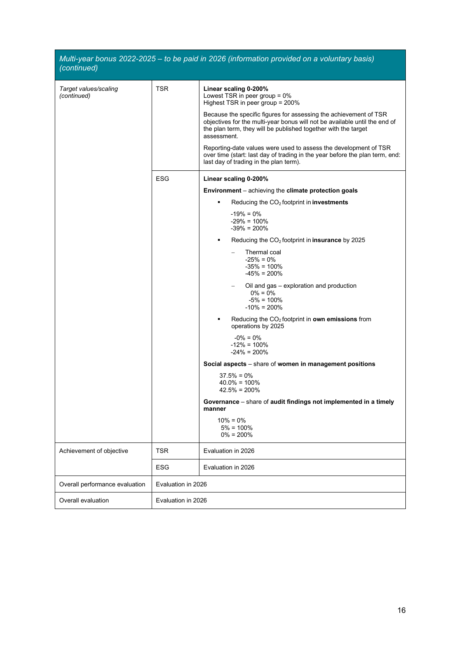| (continued)                          |                    | Multi-year bonus 2022-2025 - to be paid in 2026 (information provided on a voluntary basis)                                                                                                                                      |
|--------------------------------------|--------------------|----------------------------------------------------------------------------------------------------------------------------------------------------------------------------------------------------------------------------------|
| Target values/scaling<br>(continued) | <b>TSR</b>         | Linear scaling 0-200%<br>Lowest TSR in peer group $= 0\%$<br>Highest TSR in peer group = 200%                                                                                                                                    |
|                                      |                    | Because the specific figures for assessing the achievement of TSR<br>objectives for the multi-year bonus will not be available until the end of<br>the plan term, they will be published together with the target<br>assessment. |
|                                      |                    | Reporting-date values were used to assess the development of TSR<br>over time (start: last day of trading in the year before the plan term, end:<br>last day of trading in the plan term).                                       |
|                                      | <b>ESG</b>         | Linear scaling 0-200%                                                                                                                                                                                                            |
|                                      |                    | Environment - achieving the climate protection goals                                                                                                                                                                             |
|                                      |                    | Reducing the $CO2$ footprint in <b>investments</b><br>٠                                                                                                                                                                          |
|                                      |                    | $-19\% = 0\%$<br>$-29\% = 100\%$<br>$-39\% = 200\%$                                                                                                                                                                              |
|                                      |                    | Reducing the $CO2$ footprint in <b>insurance</b> by 2025<br>٠                                                                                                                                                                    |
|                                      |                    | Thermal coal<br>$-25\% = 0\%$<br>$-35\% = 100\%$<br>$-45\% = 200\%$                                                                                                                                                              |
|                                      |                    | Oil and gas - exploration and production<br>$0\% = 0\%$<br>$-5\% = 100\%$<br>$-10\% = 200\%$                                                                                                                                     |
|                                      |                    | Reducing the CO <sub>2</sub> footprint in own emissions from<br>operations by 2025                                                                                                                                               |
|                                      |                    | $-0\% = 0\%$<br>$-12\% = 100\%$<br>$-24\% = 200\%$                                                                                                                                                                               |
|                                      |                    | Social aspects - share of women in management positions                                                                                                                                                                          |
|                                      |                    | $37.5% = 0%$<br>$40.0\% = 100\%$<br>$42.5\% = 200\%$                                                                                                                                                                             |
|                                      |                    | Governance - share of audit findings not implemented in a timely<br>manner                                                                                                                                                       |
|                                      |                    | $10\% = 0\%$<br>$5\% = 100\%$<br>$0\% = 200\%$                                                                                                                                                                                   |
| Achievement of objective             | <b>TSR</b>         | Evaluation in 2026                                                                                                                                                                                                               |
|                                      | <b>ESG</b>         | Evaluation in 2026                                                                                                                                                                                                               |
| Overall performance evaluation       | Evaluation in 2026 |                                                                                                                                                                                                                                  |
| Overall evaluation                   | Evaluation in 2026 |                                                                                                                                                                                                                                  |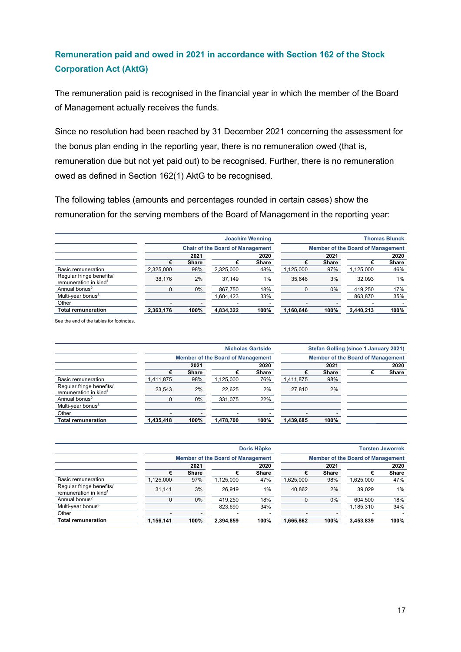## **Remuneration paid and owed in 2021 in accordance with Section 162 of the Stock Corporation Act (AktG)**

The remuneration paid is recognised in the financial year in which the member of the Board of Management actually receives the funds.

Since no resolution had been reached by 31 December 2021 concerning the assessment for the bonus plan ending in the reporting year, there is no remuneration owed (that is, remuneration due but not yet paid out) to be recognised. Further, there is no remuneration owed as defined in Section 162(1) AktG to be recognised.

The following tables (amounts and percentages rounded in certain cases) show the remuneration for the serving members of the Board of Management in the reporting year:

|                                                               |           | <b>Joachim Wenning</b>                  |           |              |           | <b>Thomas Blunck</b>                     |           |              |  |
|---------------------------------------------------------------|-----------|-----------------------------------------|-----------|--------------|-----------|------------------------------------------|-----------|--------------|--|
|                                                               |           | <b>Chair of the Board of Management</b> |           |              |           | <b>Member of the Board of Management</b> |           |              |  |
|                                                               |           | 2021<br>2020                            |           |              |           | 2021                                     |           | 2020         |  |
|                                                               | €         | Share                                   |           | <b>Share</b> |           | <b>Share</b>                             |           | <b>Share</b> |  |
| Basic remuneration                                            | 2,325,000 | 98%                                     | 2,325,000 | 48%          | 1,125,000 | 97%                                      | 1,125,000 | 46%          |  |
| Regular fringe benefits/<br>remuneration in kind <sup>1</sup> | 38.176    | 2%                                      | 37.149    | 1%           | 35.646    | 3%                                       | 32.093    | 1%           |  |
| Annual bonus <sup>2</sup>                                     | 0         | 0%                                      | 867.750   | 18%          |           | 0%                                       | 419.250   | 17%          |  |
| Multi-year bonus <sup>3</sup>                                 |           |                                         | .604.423  | 33%          |           |                                          | 863.870   | 35%          |  |
| Other                                                         |           |                                         |           |              | -         |                                          |           |              |  |
| Total remuneration                                            | 2,363,176 | 100%                                    | 4,834,322 | 100%         | 1,160,646 | 100%                                     | 2,440,213 | 100%         |  |
|                                                               |           |                                         |           |              |           |                                          |           |              |  |

See the end of the tables for footnotes.

|                                                               |                          |                                          |           | <b>Nicholas Gartside</b> |                          |                                          | <b>Stefan Golling (since 1 January 2021)</b> |              |  |
|---------------------------------------------------------------|--------------------------|------------------------------------------|-----------|--------------------------|--------------------------|------------------------------------------|----------------------------------------------|--------------|--|
|                                                               |                          | <b>Member of the Board of Management</b> |           |                          |                          | <b>Member of the Board of Management</b> |                                              |              |  |
|                                                               |                          | 2021<br>2020                             |           |                          | 2021                     |                                          | 2020                                         |              |  |
|                                                               |                          | <b>Share</b>                             |           | <b>Share</b>             |                          | <b>Share</b>                             |                                              | <b>Share</b> |  |
| Basic remuneration                                            | 1,411,875                | 98%                                      | 1,125,000 | 76%                      | 1,411,875                | 98%                                      |                                              |              |  |
| Regular fringe benefits/<br>remuneration in kind <sup>1</sup> | 23.543                   | 2%                                       | 22.625    | 2%                       | 27.810                   | 2%                                       |                                              |              |  |
| Annual bonus <sup>2</sup>                                     |                          | 0%                                       | 331.075   | 22%                      |                          |                                          |                                              |              |  |
| Multi-vear bonus <sup>3</sup>                                 |                          |                                          |           |                          |                          |                                          |                                              |              |  |
| Other                                                         | $\overline{\phantom{a}}$ |                                          | -         |                          | $\overline{\phantom{a}}$ |                                          |                                              |              |  |
| <b>Total remuneration</b>                                     | 1,435,418                | 100%                                     | 1,478,700 | 100%                     | 1,439,685                | 100%                                     |                                              |              |  |

|                                                               |           |                                          |           | Doris Höpke  | <b>Torsten Jeworrek</b> |                                          |           |              |  |
|---------------------------------------------------------------|-----------|------------------------------------------|-----------|--------------|-------------------------|------------------------------------------|-----------|--------------|--|
|                                                               |           | <b>Member of the Board of Management</b> |           |              |                         | <b>Member of the Board of Management</b> |           |              |  |
|                                                               |           | 2021<br>2020                             |           |              | 2021                    |                                          | 2020      |              |  |
|                                                               |           | <b>Share</b>                             |           | <b>Share</b> |                         | <b>Share</b>                             |           | <b>Share</b> |  |
| Basic remuneration                                            | 1,125,000 | 97%                                      | 1,125,000 | 47%          | 1,625,000               | 98%                                      | 1,625,000 | 47%          |  |
| Regular fringe benefits/<br>remuneration in kind <sup>1</sup> | 31.141    | 3%                                       | 26.919    | 1%           | 40.862                  | 2%                                       | 39.029    | 1%           |  |
| Annual bonus <sup>2</sup>                                     |           | 0%                                       | 419.250   | 18%          |                         | $0\%$                                    | 604.500   | 18%          |  |
| Multi-year bonus <sup>3</sup>                                 |           |                                          | 823.690   | 34%          |                         |                                          | 1,185,310 | 34%          |  |
| Other                                                         |           |                                          |           |              |                         |                                          |           |              |  |
| <b>Total remuneration</b>                                     | 1,156,141 | 100%                                     | 2,394,859 | 100%         | 1,665,862               | 100%                                     | 3,453,839 | 100%         |  |
|                                                               |           |                                          |           |              |                         |                                          |           |              |  |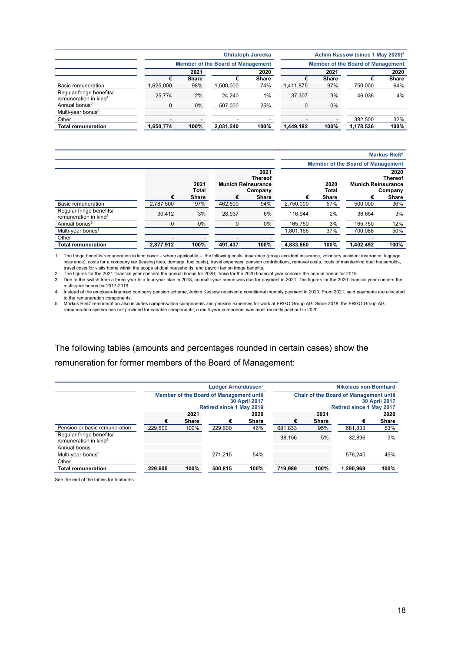|                                                               |           |                                          |           | <b>Christoph Jurecka</b> | Achim Kassow (since 1 May 2020) <sup>4</sup> |                                          |           |              |  |
|---------------------------------------------------------------|-----------|------------------------------------------|-----------|--------------------------|----------------------------------------------|------------------------------------------|-----------|--------------|--|
|                                                               |           | <b>Member of the Board of Management</b> |           |                          |                                              | <b>Member of the Board of Management</b> |           |              |  |
|                                                               |           | 2021                                     |           | 2020                     |                                              | 2021                                     |           | 2020         |  |
|                                                               | €         | <b>Share</b>                             |           | <b>Share</b>             |                                              | <b>Share</b>                             |           | <b>Share</b> |  |
| Basic remuneration                                            | 1,625,000 | 98%                                      | .500.000  | 74%                      | 1,411,875                                    | 97%                                      | 750.000   | 64%          |  |
| Regular fringe benefits/<br>remuneration in kind <sup>1</sup> | 25.774    | 2%                                       | 24.240    | 1%                       | 37.307                                       | 3%                                       | 46.036    | 4%           |  |
| Annual bonus <sup>2</sup>                                     | 0         | 0%                                       | 507.000   | 25%                      |                                              | $0\%$                                    |           |              |  |
| Multi-year bonus $3$                                          |           |                                          |           |                          |                                              |                                          |           |              |  |
| Other                                                         | -         |                                          |           |                          | -                                            |                                          | 382.500   | 32%          |  |
| <b>Total remuneration</b>                                     | 1,650,774 | 100%                                     | 2,031,240 | 100%                     | 1,449,182                                    | 100%                                     | 1,178,536 | 100%         |  |
|                                                               |           |                                          |           |                          |                                              |                                          |           |              |  |

|                                                               |           |                      |                                                                |              | <b>Markus Rieß<sup>5</sup></b> |              |                                          |               |                           |                                   |
|---------------------------------------------------------------|-----------|----------------------|----------------------------------------------------------------|--------------|--------------------------------|--------------|------------------------------------------|---------------|---------------------------|-----------------------------------|
|                                                               |           |                      |                                                                |              |                                |              | <b>Member of the Board of Management</b> |               |                           |                                   |
|                                                               |           | 2021<br><b>Total</b> | 2021<br><b>Thereof</b><br><b>Munich Reinsurance</b><br>Company |              |                                |              |                                          | 2020<br>Total | <b>Munich Reinsurance</b> | 2020<br><b>Thereof</b><br>Company |
|                                                               | €         | <b>Share</b>         |                                                                | <b>Share</b> | €                              | <b>Share</b> | €                                        | <b>Share</b>  |                           |                                   |
| <b>Basic remuneration</b>                                     | 2.787.500 | 97%                  | 462.500                                                        | 94%          | 2.750.000                      | 57%          | 500.000                                  | 36%           |                           |                                   |
| Regular fringe benefits/<br>remuneration in kind <sup>1</sup> | 90.412    | 3%                   | 28.937                                                         | 6%           | 116.944                        | 2%           | 36.654                                   | 3%            |                           |                                   |
| Annual bonus <sup>2</sup>                                     |           | 0%                   |                                                                | $0\%$        | 165.750                        | 3%           | 165.750                                  | 12%           |                           |                                   |
| Multi-year bonus $3$                                          |           |                      |                                                                |              | 1,801,166                      | 37%          | 700.088                                  | 50%           |                           |                                   |
| Other                                                         | ۰         |                      | -                                                              |              |                                |              |                                          |               |                           |                                   |
| Total remuneration                                            | 2,877,912 | 100%                 | 491.437                                                        | 100%         | 4,833,860                      | 100%         | 1.402.492                                | 100%          |                           |                                   |

1 The fringe benefits/remuneration in kind cover – where applicable – the following costs: insurance (group accident insurance, voluntary accident insurance, luggage<br>insurance), costs for a company car (leasing fees, damag

2 The figures for the 2021 financial year concern the annual bonus for 2020; those for the 2020 financial year concern the annual bonus for 2019.

3 Due to the switch from a three-year to a four-year plan in 2018, no multi-year bonus was due for payment in 2021. The figures for the 2020 financial year concern the multi-year bonus for 2017-2019.

4 Instead of the employer-financed company pension scheme, Achim Kassow received a conditional monthly payment in 2020. From 2021, said payments are allocated to the remuneration components.

5 Markus Rieß' remuneration also includes compensation components and pension expenses for work at ERGO Group AG. Since 2018, the ERGO Group AG remuneration system has not provided for variable components; a multi-year component was most recently paid out in 2020.

### The following tables (amounts and percentages rounded in certain cases) show the remuneration for former members of the Board of Management:

|                                                               |                                 |                      | Ludger Arnoldussen <sup>2</sup>         |              |         |              | <b>Nikolaus von Bomhard</b>                   |                      |
|---------------------------------------------------------------|---------------------------------|----------------------|-----------------------------------------|--------------|---------|--------------|-----------------------------------------------|----------------------|
|                                                               |                                 |                      | Member of the Board of Management until |              |         |              | <b>Chair of the Board of Management until</b> |                      |
|                                                               |                                 | <b>30 April 2017</b> |                                         |              |         |              |                                               | <b>30 April 2017</b> |
|                                                               | <b>Retired since 1 May 2019</b> |                      |                                         |              |         |              | <b>Retired since 1 May 2017</b>               |                      |
|                                                               |                                 | 2021                 | 2020                                    |              |         | 2021         |                                               | 2020                 |
|                                                               | €                               | <b>Share</b>         | €                                       | <b>Share</b> | €       | <b>Share</b> | €                                             | <b>Share</b>         |
| Pension or basic remuneration                                 | 229.600                         | 100%                 | 229.600                                 | 46%          | 681.833 | 95%          | 681.833                                       | 53%                  |
| Regular fringe benefits/<br>remuneration in kind <sup>1</sup> |                                 |                      |                                         |              | 38.156  | 5%           | 32.896                                        | 3%                   |
| Annual bonus                                                  |                                 |                      |                                         |              |         |              |                                               |                      |
| Multi-year bonus $3$                                          |                                 |                      | 271.215                                 | 54%          |         |              | 576.240                                       | 45%                  |
| Other                                                         |                                 |                      |                                         |              |         |              |                                               |                      |
| <b>Total remuneration</b>                                     | 229.600                         | 100%                 | 500.815                                 | 100%         | 719.989 | 100%         | 1.290.969                                     | 100%                 |

See the end of the tables for footnotes.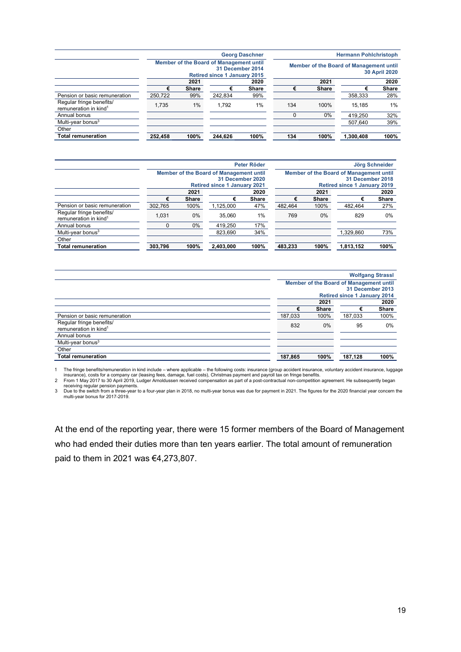|                                                               |                                                                                                    |       |         | <b>Georg Daschner</b>                                           |     | <b>Hermann Pohlchristoph</b> |           |              |  |  |
|---------------------------------------------------------------|----------------------------------------------------------------------------------------------------|-------|---------|-----------------------------------------------------------------|-----|------------------------------|-----------|--------------|--|--|
|                                                               | Member of the Board of Management until<br>31 December 2014<br><b>Retired since 1 January 2015</b> |       |         | Member of the Board of Management until<br><b>30 April 2020</b> |     |                              |           |              |  |  |
|                                                               |                                                                                                    | 2021  |         | 2020                                                            |     | 2021                         |           | 2020         |  |  |
|                                                               |                                                                                                    | Share |         | <b>Share</b>                                                    |     | <b>Share</b>                 |           | <b>Share</b> |  |  |
| Pension or basic remuneration                                 | 250,722                                                                                            | 99%   | 242.834 | 99%                                                             |     |                              | 358,333   | 28%          |  |  |
| Regular fringe benefits/<br>remuneration in kind <sup>1</sup> | 1.735                                                                                              | 1%    | 1.792   | 1%                                                              | 134 | 100%                         | 15.185    | 1%           |  |  |
| Annual bonus                                                  |                                                                                                    |       |         |                                                                 |     | 0%                           | 419.250   | 32%          |  |  |
| Multi-year bonus <sup>3</sup>                                 |                                                                                                    |       |         |                                                                 |     |                              | 507.640   | 39%          |  |  |
| Other                                                         |                                                                                                    |       |         |                                                                 |     |                              |           |              |  |  |
| <b>Total remuneration</b>                                     | 252.458                                                                                            | 100%  | 244.626 | 100%                                                            | 134 | 100%                         | 1.300.408 | 100%         |  |  |

|                                                               |                                     |                  |                                         | Peter Röder  |         | Jörg Schneider                      |                                         |       |  |  |
|---------------------------------------------------------------|-------------------------------------|------------------|-----------------------------------------|--------------|---------|-------------------------------------|-----------------------------------------|-------|--|--|
|                                                               |                                     |                  | Member of the Board of Management until |              |         |                                     | Member of the Board of Management until |       |  |  |
|                                                               |                                     | 31 December 2020 |                                         |              |         |                                     | 31 December 2018                        |       |  |  |
|                                                               | <b>Retired since 1 January 2021</b> |                  |                                         |              |         | <b>Retired since 1 January 2019</b> |                                         |       |  |  |
|                                                               |                                     | 2021             |                                         | 2020         |         | 2021                                |                                         | 2020  |  |  |
|                                                               |                                     | <b>Share</b>     |                                         | <b>Share</b> |         | <b>Share</b>                        |                                         | Share |  |  |
| Pension or basic remuneration                                 | 302,765                             | 100%             | 1.125.000                               | 47%          | 482.464 | 100%                                | 482.464                                 | 27%   |  |  |
| Regular fringe benefits/<br>remuneration in kind <sup>1</sup> | 1.031                               | 0%               | 35.060                                  | 1%           | 769     | $0\%$                               | 829                                     | $0\%$ |  |  |
| Annual bonus                                                  | $\Omega$                            | 0%               | 419.250                                 | 17%          |         |                                     |                                         |       |  |  |
| Multi-year bonus <sup>3</sup>                                 |                                     |                  | 823.690                                 | 34%          |         |                                     | 1,329,860                               | 73%   |  |  |
| Other                                                         |                                     |                  |                                         |              |         |                                     |                                         |       |  |  |
| <b>Total remuneration</b>                                     | 303,796                             | 100%             | 2,403,000                               | 100%         | 483,233 | 100%                                | 1,813,152                               | 100%  |  |  |

|                                   |         |                  |                                         | <b>Wolfgang Strassl</b> |  |  |
|-----------------------------------|---------|------------------|-----------------------------------------|-------------------------|--|--|
|                                   |         |                  | Member of the Board of Management until |                         |  |  |
|                                   |         | 31 December 2013 |                                         |                         |  |  |
|                                   |         |                  | <b>Retired since 1 January 2014</b>     |                         |  |  |
|                                   |         | 2021             |                                         | 2020                    |  |  |
|                                   | €       | <b>Share</b>     | €                                       | Share                   |  |  |
| Pension or basic remuneration     | 187,033 | 100%             | 187,033                                 | 100%                    |  |  |
| Regular fringe benefits/          | 832     | $0\%$            | 95                                      | $0\%$                   |  |  |
| remuneration in kind <sup>1</sup> |         |                  |                                         |                         |  |  |
| Annual bonus                      |         |                  |                                         |                         |  |  |
| Multi-year bonus <sup>3</sup>     |         |                  |                                         |                         |  |  |
| Other                             |         |                  |                                         |                         |  |  |
| <b>Total remuneration</b>         | 187,865 | 100%             | 187,128                                 | 100%                    |  |  |

1 The fringe benefits/remuneration in kind include – where applicable – the following costs: insurance (group accident insurance, voluntary accident insurance, luggage insurance), costs for a company car (leasing fees, damage, fuel costs), Christmas payment and payroll tax on fringe benefits.<br>2 From 1 May 2017 to 30 April 2019, Ludger Arnoldussen received compensation as part of a post-c

receiving regular pension payments.<br>3 Due to the switch from a three-year to a four-year plan in 2018, no multi-year bonus was due for payment in 2021. The figures for the 2020 financial year concern the<br>multi-year bonu

At the end of the reporting year, there were 15 former members of the Board of Management who had ended their duties more than ten years earlier. The total amount of remuneration paid to them in 2021 was €4,273,807.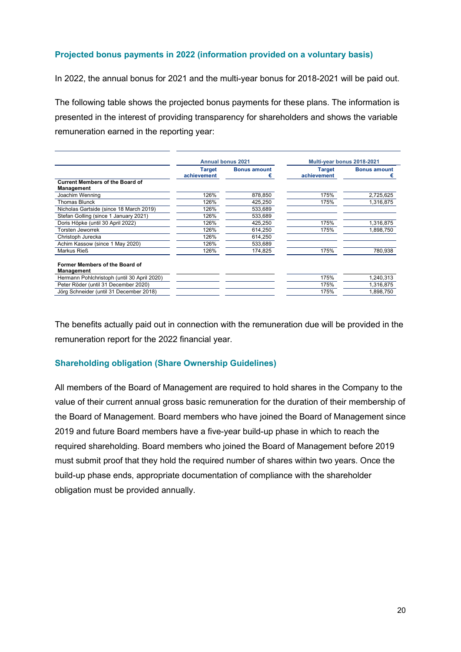### **Projected bonus payments in 2022 (information provided on a voluntary basis)**

In 2022, the annual bonus for 2021 and the multi-year bonus for 2018-2021 will be paid out.

The following table shows the projected bonus payments for these plans. The information is presented in the interest of providing transparency for shareholders and shows the variable remuneration earned in the reporting year:

|                                                             |                              | <b>Annual bonus 2021</b> | Multi-year bonus 2018-2021   |                          |
|-------------------------------------------------------------|------------------------------|--------------------------|------------------------------|--------------------------|
|                                                             | <b>Target</b><br>achievement | <b>Bonus amount</b>      | <b>Target</b><br>achievement | <b>Bonus amount</b><br>€ |
| <b>Current Members of the Board of</b><br><b>Management</b> |                              |                          |                              |                          |
| Joachim Wenning                                             | 126%                         | 878,850                  | 175%                         | 2,725,625                |
| <b>Thomas Blunck</b>                                        | 126%                         | 425.250                  | 175%                         | 1.316.875                |
| Nicholas Gartside (since 18 March 2019)                     | 126%                         | 533.689                  |                              |                          |
| Stefan Golling (since 1 January 2021)                       | 126%                         | 533,689                  |                              |                          |
| Doris Höpke (until 30 April 2022)                           | 126%                         | 425,250                  | 175%                         | 1,316,875                |
| Torsten Jeworrek                                            | 126%                         | 614,250                  | 175%                         | 1,898,750                |
| Christoph Jurecka                                           | 126%                         | 614.250                  |                              |                          |
| Achim Kassow (since 1 May 2020)                             | 126%                         | 533.689                  |                              |                          |
| Markus Rieß                                                 | 126%                         | 174.825                  | 175%                         | 780.938                  |
| Former Members of the Board of<br>Management                |                              |                          |                              |                          |
| Hermann Pohlchristoph (until 30 April 2020)                 |                              |                          | 175%                         | 1,240,313                |
| Peter Röder (until 31 December 2020)                        |                              |                          | 175%                         | 1,316,875                |
| Jörg Schneider (until 31 December 2018)                     |                              |                          | 175%                         | 1.898.750                |

The benefits actually paid out in connection with the remuneration due will be provided in the remuneration report for the 2022 financial year.

#### **Shareholding obligation (Share Ownership Guidelines)**

All members of the Board of Management are required to hold shares in the Company to the value of their current annual gross basic remuneration for the duration of their membership of the Board of Management. Board members who have joined the Board of Management since 2019 and future Board members have a five-year build-up phase in which to reach the required shareholding. Board members who joined the Board of Management before 2019 must submit proof that they hold the required number of shares within two years. Once the build-up phase ends, appropriate documentation of compliance with the shareholder obligation must be provided annually.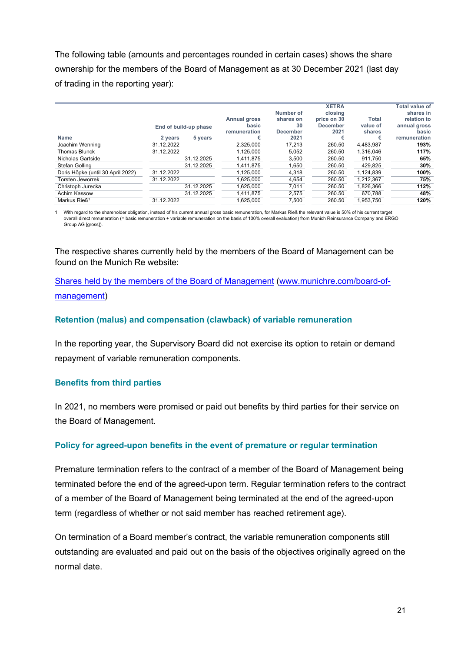The following table (amounts and percentages rounded in certain cases) shows the share ownership for the members of the Board of Management as at 30 December 2021 (last day of trading in the reporting year):

|                                   |                       |            |                     | Number of       | <b>XETRA</b><br>closing |              | <b>Total value of</b><br>shares in |
|-----------------------------------|-----------------------|------------|---------------------|-----------------|-------------------------|--------------|------------------------------------|
|                                   |                       |            | <b>Annual gross</b> | shares on       | price on 30             | <b>Total</b> | relation to                        |
|                                   | End of build-up phase |            | basic               | 30              | <b>December</b>         | value of     | annual gross                       |
|                                   |                       |            | remuneration        | <b>December</b> | 2021                    | shares       | basic                              |
| <b>Name</b>                       | 2 years               | 5 years    | €                   | 2021            |                         | €            | remuneration                       |
| Joachim Wenning                   | 31.12.2022            |            | 2,325,000           | 17,213          | 260.50                  | 4,483,987    | 193%                               |
| <b>Thomas Blunck</b>              | 31.12.2022            |            | 1.125.000           | 5,052           | 260.50                  | 1,316,046    | 117%                               |
| Nicholas Gartside                 |                       | 31.12.2025 | 1,411,875           | 3,500           | 260.50                  | 911,750      | 65%                                |
| Stefan Golling                    |                       | 31.12.2025 | 1.411.875           | 1,650           | 260.50                  | 429,825      | 30%                                |
| Doris Höpke (until 30 April 2022) | 31.12.2022            |            | 1.125.000           | 4,318           | 260.50                  | 1,124,839    | 100%                               |
| Torsten Jeworrek                  | 31.12.2022            |            | 1.625.000           | 4.654           | 260.50                  | 1.212.367    | 75%                                |
| Christoph Jurecka                 |                       | 31.12.2025 | 1.625.000           | 7,011           | 260.50                  | 1,826,366    | 112%                               |
| Achim Kassow                      |                       | 31.12.2025 | 1.411.875           | 2.575           | 260.50                  | 670.788      | 48%                                |
| Markus Rieß <sup>1</sup>          | 31.12.2022            |            | 1.625.000           | 7,500           | 260.50                  | 1.953.750    | 120%                               |

1 With regard to the shareholder obligation, instead of his current annual gross basic remuneration, for Markus Rieß the relevant value is 50% of his current target overall direct remuneration (= basic remuneration + variable remuneration on the basis of 100% overall evaluation) from Munich Reinsurance Company and ERGO Group AG [gross]).

The respective shares currently held by the members of the Board of Management can be found on the Munich Re website:

## [Shares held by the members of the Board of Management](https://www.munichre.com/en/company/about-munich-re/board-of-management/shares-held.html) [\(www.munichre.com/board-of](https://www.munichre.com/en/company/about-munich-re/board-of-management.html)[management\)](https://www.munichre.com/en/company/about-munich-re/board-of-management.html)

### **Retention (malus) and compensation (clawback) of variable remuneration**

In the reporting year, the Supervisory Board did not exercise its option to retain or demand repayment of variable remuneration components.

#### **Benefits from third parties**

In 2021, no members were promised or paid out benefits by third parties for their service on the Board of Management.

#### **Policy for agreed-upon benefits in the event of premature or regular termination**

Premature termination refers to the contract of a member of the Board of Management being terminated before the end of the agreed-upon term. Regular termination refers to the contract of a member of the Board of Management being terminated at the end of the agreed-upon term (regardless of whether or not said member has reached retirement age).

On termination of a Board member's contract, the variable remuneration components still outstanding are evaluated and paid out on the basis of the objectives originally agreed on the normal date.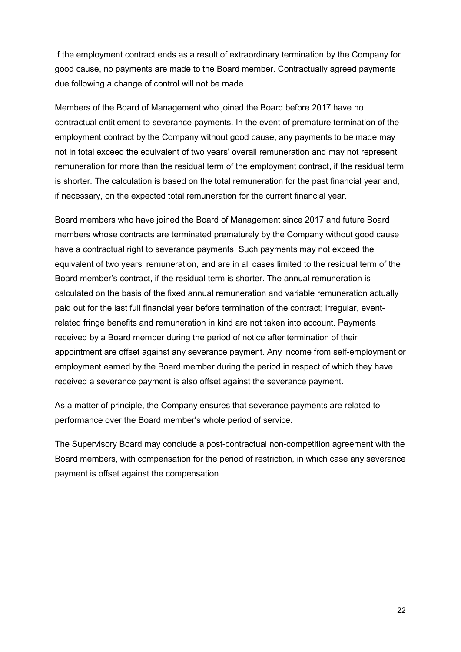If the employment contract ends as a result of extraordinary termination by the Company for good cause, no payments are made to the Board member. Contractually agreed payments due following a change of control will not be made.

Members of the Board of Management who joined the Board before 2017 have no contractual entitlement to severance payments. In the event of premature termination of the employment contract by the Company without good cause, any payments to be made may not in total exceed the equivalent of two years' overall remuneration and may not represent remuneration for more than the residual term of the employment contract, if the residual term is shorter. The calculation is based on the total remuneration for the past financial year and, if necessary, on the expected total remuneration for the current financial year.

Board members who have joined the Board of Management since 2017 and future Board members whose contracts are terminated prematurely by the Company without good cause have a contractual right to severance payments. Such payments may not exceed the equivalent of two years' remuneration, and are in all cases limited to the residual term of the Board member's contract, if the residual term is shorter. The annual remuneration is calculated on the basis of the fixed annual remuneration and variable remuneration actually paid out for the last full financial year before termination of the contract; irregular, eventrelated fringe benefits and remuneration in kind are not taken into account. Payments received by a Board member during the period of notice after termination of their appointment are offset against any severance payment. Any income from self-employment or employment earned by the Board member during the period in respect of which they have received a severance payment is also offset against the severance payment.

As a matter of principle, the Company ensures that severance payments are related to performance over the Board member's whole period of service.

The Supervisory Board may conclude a post-contractual non-competition agreement with the Board members, with compensation for the period of restriction, in which case any severance payment is offset against the compensation.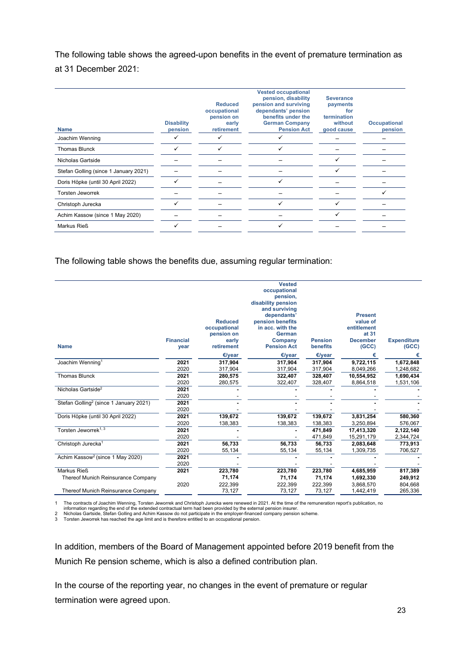The following table shows the agreed-upon benefits in the event of premature termination as at 31 December 2021:

| <b>Disability</b> | <b>Reduced</b><br>occupational<br>pension on<br>early | <b>Vested occupational</b><br>pension, disability<br>pension and surviving<br>dependants' pension<br>benefits under the<br><b>German Company</b> | <b>Severance</b><br>payments<br>for<br>termination<br>without | <b>Occupational</b> |
|-------------------|-------------------------------------------------------|--------------------------------------------------------------------------------------------------------------------------------------------------|---------------------------------------------------------------|---------------------|
| pension           | retirement                                            | <b>Pension Act</b>                                                                                                                               | good cause                                                    | pension             |
|                   |                                                       |                                                                                                                                                  |                                                               |                     |
|                   |                                                       |                                                                                                                                                  |                                                               |                     |
|                   |                                                       |                                                                                                                                                  |                                                               |                     |
|                   |                                                       |                                                                                                                                                  | ✓                                                             |                     |
|                   |                                                       |                                                                                                                                                  |                                                               |                     |
|                   |                                                       |                                                                                                                                                  |                                                               |                     |
|                   |                                                       |                                                                                                                                                  |                                                               |                     |
|                   |                                                       |                                                                                                                                                  |                                                               |                     |
|                   |                                                       |                                                                                                                                                  |                                                               |                     |
|                   |                                                       |                                                                                                                                                  |                                                               |                     |

The following table shows the benefits due, assuming regular termination:

|                                                    |                  |                | <b>Vested</b>                  |                 |                 |                    |
|----------------------------------------------------|------------------|----------------|--------------------------------|-----------------|-----------------|--------------------|
|                                                    |                  |                | occupational                   |                 |                 |                    |
|                                                    |                  |                | pension,<br>disability pension |                 |                 |                    |
|                                                    |                  |                | and surviving                  |                 |                 |                    |
|                                                    |                  |                | dependants'                    |                 | <b>Present</b>  |                    |
|                                                    |                  | <b>Reduced</b> | pension benefits               |                 | value of        |                    |
|                                                    |                  | occupational   | in acc. with the               |                 | entitlement     |                    |
|                                                    |                  | pension on     | <b>German</b>                  |                 | at 31           |                    |
|                                                    | <b>Financial</b> | early          | Company                        | <b>Pension</b>  | <b>December</b> | <b>Expenditure</b> |
| <b>Name</b>                                        | year             | retirement     | <b>Pension Act</b>             | <b>benefits</b> | (GCC)           | (GCC)              |
|                                                    |                  | €/year         | E/year                         | €/year          | €               | €                  |
| Joachim Wenning <sup>1</sup>                       | 2021             | 317,904        | 317,904                        | 317,904         | 9,722,115       | 1,672,848          |
|                                                    | 2020             | 317,904        | 317,904                        | 317,904         | 8,049,266       | 1,248,682          |
| <b>Thomas Blunck</b>                               | 2021             | 280,575        | 322,407                        | 328,407         | 10,554,952      | 1,690,434          |
|                                                    | 2020             | 280,575        | 322,407                        | 328,407         | 8,864,518       | 1,531,106          |
| Nicholas Gartside <sup>2</sup>                     | 2021             |                |                                |                 |                 |                    |
|                                                    | 2020             |                |                                |                 |                 |                    |
| Stefan Golling <sup>2</sup> (since 1 January 2021) | 2021             |                |                                |                 |                 |                    |
|                                                    | 2020             |                |                                |                 |                 |                    |
| Doris Höpke (until 30 April 2022)                  | 2021             | 139,672        | 139,672                        | 139,672         | 3,831,254       | 580,360            |
|                                                    | 2020             | 138,383        | 138,383                        | 138,383         | 3,250,894       | 576,067            |
| Torsten Jeworrek <sup>1, 3</sup>                   | 2021             |                |                                | 471,849         | 17,413,320      | 2,122,140          |
|                                                    | 2020             |                |                                | 471,849         | 15,291,179      | 2,344,724          |
| Christoph Jurecka <sup>1</sup>                     | 2021             | 56,733         | 56,733                         | 56,733          | 2,083,648       | 773,913            |
|                                                    | 2020             | 55,134         | 55,134                         | 55,134          | 1,309,735       | 706,527            |
| Achim Kassow <sup>2</sup> (since 1 May 2020)       | 2021             |                |                                |                 |                 |                    |
|                                                    | 2020             |                |                                |                 |                 |                    |
| Markus Rieß                                        | 2021             | 223,780        | 223,780                        | 223,780         | 4,685,959       | 817,389            |
| Thereof Munich Reinsurance Company                 |                  | 71,174         | 71,174                         | 71,174          | 1,692,330       | 249,912            |
|                                                    | 2020             | 222,399        | 222,399                        | 222,399         | 3,868,570       | 804,668            |
| Thereof Munich Reinsurance Company                 |                  | 73,127         | 73,127                         | 73,127          | 1,442,419       | 265,336            |
|                                                    |                  |                |                                |                 |                 |                    |

1 The contracts of Joachim Wenning, Torsten Jeworrek and Christoph Jurecka were renewed in 2021. At the time of the remuneration report's publication, no

information regarding the end of the extended contractual term had been provided by the external pension insurer.

2 Nicholas Gartside, Stefan Golling and Achim Kassow do not participate in the employer-financed company pension scheme.<br>3 Torsten Jeworrek has reached the age limit and is therefore entitled to an occupational pension.

In addition, members of the Board of Management appointed before 2019 benefit from the Munich Re pension scheme, which is also a defined contribution plan.

In the course of the reporting year, no changes in the event of premature or regular termination were agreed upon.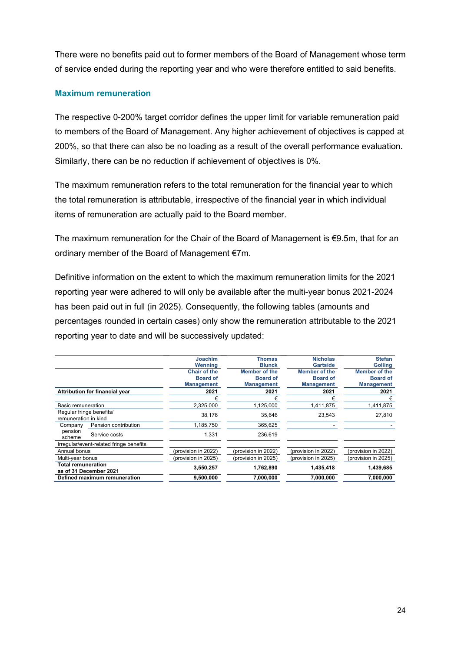There were no benefits paid out to former members of the Board of Management whose term of service ended during the reporting year and who were therefore entitled to said benefits.

#### **Maximum remuneration**

The respective 0-200% target corridor defines the upper limit for variable remuneration paid to members of the Board of Management. Any higher achievement of objectives is capped at 200%, so that there can also be no loading as a result of the overall performance evaluation. Similarly, there can be no reduction if achievement of objectives is 0%.

The maximum remuneration refers to the total remuneration for the financial year to which the total remuneration is attributable, irrespective of the financial year in which individual items of remuneration are actually paid to the Board member.

The maximum remuneration for the Chair of the Board of Management is €9.5m, that for an ordinary member of the Board of Management €7m.

Definitive information on the extent to which the maximum remuneration limits for the 2021 reporting year were adhered to will only be available after the multi-year bonus 2021-2024 has been paid out in full (in 2025). Consequently, the following tables (amounts and percentages rounded in certain cases) only show the remuneration attributable to the 2021 reporting year to date and will be successively updated:

|                                                     | Joachim             | <b>Thomas</b>       | <b>Nicholas</b>     | <b>Stefan</b>       |
|-----------------------------------------------------|---------------------|---------------------|---------------------|---------------------|
|                                                     |                     |                     |                     |                     |
|                                                     | Wenning             | <b>Blunck</b>       | <b>Gartside</b>     | <b>Golling</b>      |
|                                                     | <b>Chair of the</b> | Member of the       | Member of the       | Member of the       |
|                                                     | <b>Board of</b>     | <b>Board of</b>     | <b>Board of</b>     | <b>Board of</b>     |
|                                                     | <b>Management</b>   | <b>Management</b>   | <b>Management</b>   | <b>Management</b>   |
| Attribution for financial year                      | 2021                | 2021                | 2021                | 2021                |
|                                                     | €                   | €                   | €                   | €                   |
| Basic remuneration                                  | 2,325,000           | 1,125,000           | 1,411,875           | 1,411,875           |
| Regular fringe benefits/<br>remuneration in kind    | 38.176              | 35.646              | 23.543              | 27,810              |
| Pension contribution<br>Company                     | 1.185.750           | 365.625             |                     |                     |
| pension<br>Service costs<br>scheme                  | 1,331               | 236,619             |                     |                     |
| Irregular/event-related fringe benefits             |                     |                     |                     |                     |
| Annual bonus                                        | (provision in 2022) | (provision in 2022) | (provision in 2022) | (provision in 2022) |
| Multi-vear bonus                                    | (provision in 2025) | (provision in 2025) | (provision in 2025) | (provision in 2025) |
| <b>Total remuneration</b><br>as of 31 December 2021 | 3,550,257           | 1,762,890           | 1,435,418           | 1,439,685           |
| Defined maximum remuneration                        | 9,500,000           | 7,000,000           | 7,000,000           | 7,000,000           |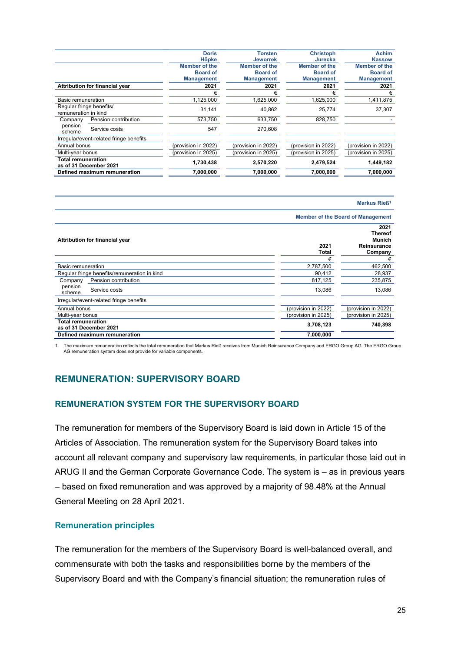|                                                     | <b>Doris</b>         | <b>Torsten</b>       | <b>Christoph</b>     | <b>Achim</b>        |
|-----------------------------------------------------|----------------------|----------------------|----------------------|---------------------|
|                                                     | Höpke                | <b>Jeworrek</b>      | Jurecka              | <b>Kassow</b>       |
|                                                     | <b>Member of the</b> | <b>Member of the</b> | <b>Member of the</b> | Member of the       |
|                                                     | <b>Board of</b>      | <b>Board of</b>      | <b>Board of</b>      | <b>Board of</b>     |
|                                                     | <b>Management</b>    | <b>Management</b>    | <b>Management</b>    | <b>Management</b>   |
| Attribution for financial year                      | 2021                 | 2021                 | 2021                 | 2021                |
|                                                     |                      | €                    |                      | €                   |
| Basic remuneration                                  | 1,125,000            | 1,625,000            | 1,625,000            | 1,411,875           |
| Regular fringe benefits/<br>remuneration in kind    | 31,141               | 40,862               | 25,774               | 37,307              |
| Pension contribution<br>Company                     | 573.750              | 633.750              | 828.750              |                     |
| pension<br>Service costs<br>scheme                  | 547                  | 270.608              |                      |                     |
| Irregular/event-related fringe benefits             |                      |                      |                      |                     |
| Annual bonus                                        | (provision in 2022)  | (provision in 2022)  | (provision in 2022)  | (provision in 2022) |
| Multi-year bonus                                    | (provision in 2025)  | (provision in 2025)  | (provision in 2025)  | (provision in 2025) |
| <b>Total remuneration</b><br>as of 31 December 2021 | 1,730,438            | 2,570,220            | 2,479,524            | 1,449,182           |
| Defined maximum remuneration                        | 7,000,000            | 7.000.000            | 7,000,000            | 7.000.000           |

| Markus Rieß <sup>1</sup>                            |                                          |                                                            |  |  |  |  |
|-----------------------------------------------------|------------------------------------------|------------------------------------------------------------|--|--|--|--|
|                                                     | <b>Member of the Board of Management</b> |                                                            |  |  |  |  |
| Attribution for financial year                      | 2021<br>Total                            | 2021<br><b>Thereof</b><br>Munich<br>Reinsurance<br>Company |  |  |  |  |
|                                                     | €                                        | €                                                          |  |  |  |  |
| Basic remuneration                                  | 2,787,500                                | 462,500                                                    |  |  |  |  |
| Regular fringe benefits/remuneration in kind        | 90,412                                   | 28,937                                                     |  |  |  |  |
| Pension contribution<br>Company                     | 817,125                                  | 235,875                                                    |  |  |  |  |
| pension<br>Service costs<br>scheme                  | 13,086                                   | 13,086                                                     |  |  |  |  |
| Irregular/event-related fringe benefits             |                                          |                                                            |  |  |  |  |
| Annual bonus                                        | (provision in 2022)                      | (provision in 2022)                                        |  |  |  |  |
| Multi-year bonus                                    | (provision in 2025)                      | (provision in 2025)                                        |  |  |  |  |
| <b>Total remuneration</b><br>as of 31 December 2021 | 3,708,123                                | 740,398                                                    |  |  |  |  |
| Defined maximum remuneration                        | 7,000,000                                |                                                            |  |  |  |  |

1 The maximum remuneration reflects the total remuneration that Markus Rieß receives from Munich Reinsurance Company and ERGO Group AG. The ERGO Group AG remuneration system does not provide for variable components.

### **REMUNERATION: SUPERVISORY BOARD**

#### **REMUNERATION SYSTEM FOR THE SUPERVISORY BOARD**

The remuneration for members of the Supervisory Board is laid down in Article 15 of the Articles of Association. The remuneration system for the Supervisory Board takes into account all relevant company and supervisory law requirements, in particular those laid out in ARUG II and the German Corporate Governance Code. The system is – as in previous years – based on fixed remuneration and was approved by a majority of 98.48% at the Annual General Meeting on 28 April 2021.

#### **Remuneration principles**

The remuneration for the members of the Supervisory Board is well-balanced overall, and commensurate with both the tasks and responsibilities borne by the members of the Supervisory Board and with the Company's financial situation; the remuneration rules of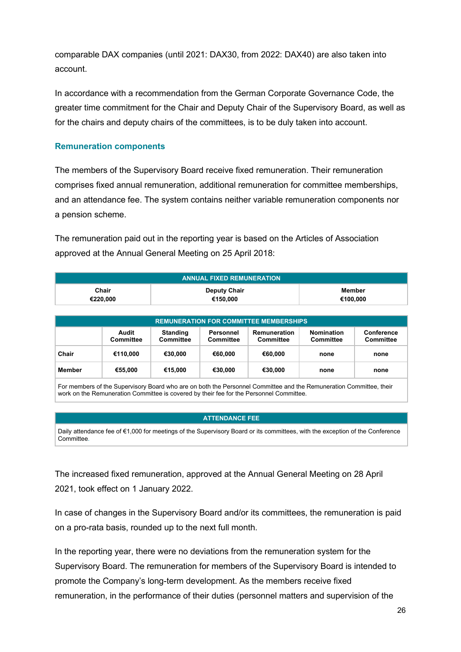comparable DAX companies (until 2021: DAX30, from 2022: DAX40) are also taken into account.

In accordance with a recommendation from the German Corporate Governance Code, the greater time commitment for the Chair and Deputy Chair of the Supervisory Board, as well as for the chairs and deputy chairs of the committees, is to be duly taken into account.

#### **Remuneration components**

The members of the Supervisory Board receive fixed remuneration. Their remuneration comprises fixed annual remuneration, additional remuneration for committee memberships, and an attendance fee. The system contains neither variable remuneration components nor a pension scheme.

The remuneration paid out in the reporting year is based on the Articles of Association approved at the Annual General Meeting on 25 April 2018:

| <b>ANNUAL FIXED REMUNERATION</b> |                     |          |  |  |  |  |  |
|----------------------------------|---------------------|----------|--|--|--|--|--|
| Chair                            | <b>Deputy Chair</b> | Member   |  |  |  |  |  |
| €220.000                         | €150.000            | €100.000 |  |  |  |  |  |

| <b>REMUNERATION FOR COMMITTEE MEMBERSHIPS</b> |                    |                                     |                        |                           |                                |                                       |  |  |  |  |
|-----------------------------------------------|--------------------|-------------------------------------|------------------------|---------------------------|--------------------------------|---------------------------------------|--|--|--|--|
|                                               | Audit<br>Committee | <b>Standing</b><br><b>Committee</b> | Personnel<br>Committee | Remuneration<br>Committee | <b>Nomination</b><br>Committee | <b>Conference</b><br><b>Committee</b> |  |  |  |  |
| Chair                                         | €110.000           | €30.000                             | €60.000                | €60.000                   | none                           | none                                  |  |  |  |  |
| <b>Member</b>                                 | €55.000            | €15.000                             | €30.000                | €30,000                   | none                           | none                                  |  |  |  |  |

For members of the Supervisory Board who are on both the Personnel Committee and the Remuneration Committee, their work on the Remuneration Committee is covered by their fee for the Personnel Committee.

#### **ATTENDANCE FEE**

Daily attendance fee of €1,000 for meetings of the Supervisory Board or its committees, with the exception of the Conference **Committee** 

The increased fixed remuneration, approved at the Annual General Meeting on 28 April 2021, took effect on 1 January 2022.

In case of changes in the Supervisory Board and/or its committees, the remuneration is paid on a pro-rata basis, rounded up to the next full month.

In the reporting year, there were no deviations from the remuneration system for the Supervisory Board. The remuneration for members of the Supervisory Board is intended to promote the Company's long-term development. As the members receive fixed remuneration, in the performance of their duties (personnel matters and supervision of the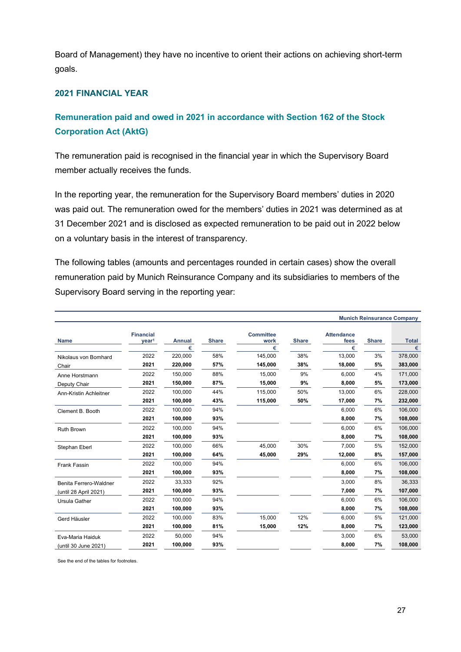Board of Management) they have no incentive to orient their actions on achieving short-term goals.

### **2021 FINANCIAL YEAR**

### **Remuneration paid and owed in 2021 in accordance with Section 162 of the Stock Corporation Act (AktG)**

The remuneration paid is recognised in the financial year in which the Supervisory Board member actually receives the funds.

In the reporting year, the remuneration for the Supervisory Board members' duties in 2020 was paid out. The remuneration owed for the members' duties in 2021 was determined as at 31 December 2021 and is disclosed as expected remuneration to be paid out in 2022 below on a voluntary basis in the interest of transparency.

The following tables (amounts and percentages rounded in certain cases) show the overall remuneration paid by Munich Reinsurance Company and its subsidiaries to members of the Supervisory Board serving in the reporting year:

|                        |                                       |                    |              |                               |              |                                |              | <b>Munich Reinsurance Company</b> |
|------------------------|---------------------------------------|--------------------|--------------|-------------------------------|--------------|--------------------------------|--------------|-----------------------------------|
| <b>Name</b>            | <b>Financial</b><br>year <sup>1</sup> | <b>Annual</b><br>€ | <b>Share</b> | <b>Committee</b><br>work<br>€ | <b>Share</b> | <b>Attendance</b><br>fees<br>€ | <b>Share</b> | <b>Total</b><br>€                 |
| Nikolaus von Bomhard   | 2022                                  | 220,000            | 58%          | 145,000                       | 38%          | 13,000                         | 3%           | 378,000                           |
| Chair                  | 2021                                  | 220,000            | 57%          | 145,000                       | 38%          | 18,000                         | 5%           | 383,000                           |
| Anne Horstmann         | 2022                                  | 150,000            | 88%          | 15,000                        | 9%           | 6.000                          | 4%           | 171,000                           |
| Deputy Chair           | 2021                                  | 150,000            | 87%          | 15,000                        | 9%           | 8,000                          | 5%           | 173,000                           |
| Ann-Kristin Achleitner | 2022                                  | 100,000            | 44%          | 115,000                       | 50%          | 13.000                         | 6%           | 228,000                           |
|                        | 2021                                  | 100,000            | 43%          | 115,000                       | 50%          | 17,000                         | 7%           | 232,000                           |
| Clement B. Booth       | 2022                                  | 100,000            | 94%          |                               |              | 6.000                          | 6%           | 106,000                           |
|                        | 2021                                  | 100,000            | 93%          |                               |              | 8,000                          | 7%           | 108,000                           |
| <b>Ruth Brown</b>      | 2022                                  | 100,000            | 94%          |                               |              | 6,000                          | 6%           | 106,000                           |
|                        | 2021                                  | 100,000            | 93%          |                               |              | 8,000                          | 7%           | 108,000                           |
| Stephan Eberl          | 2022                                  | 100,000            | 66%          | 45,000                        | 30%          | 7,000                          | 5%           | 152,000                           |
|                        | 2021                                  | 100,000            | 64%          | 45,000                        | 29%          | 12,000                         | 8%           | 157,000                           |
| Frank Fassin           | 2022                                  | 100,000            | 94%          |                               |              | 6,000                          | 6%           | 106,000                           |
|                        | 2021                                  | 100,000            | 93%          |                               |              | 8,000                          | 7%           | 108,000                           |
| Benita Ferrero-Waldner | 2022                                  | 33,333             | 92%          |                               |              | 3,000                          | 8%           | 36,333                            |
| (until 28 April 2021)  | 2021                                  | 100,000            | 93%          |                               |              | 7,000                          | 7%           | 107,000                           |
| Ursula Gather          | 2022                                  | 100,000            | 94%          |                               |              | 6,000                          | 6%           | 106,000                           |
|                        | 2021                                  | 100,000            | 93%          |                               |              | 8,000                          | 7%           | 108,000                           |
| Gerd Häusler           | 2022                                  | 100.000            | 83%          | 15,000                        | 12%          | 6,000                          | 5%           | 121,000                           |
|                        | 2021                                  | 100,000            | 81%          | 15,000                        | 12%          | 8,000                          | 7%           | 123,000                           |
| Eva-Maria Haiduk       | 2022                                  | 50,000             | 94%          |                               |              | 3,000                          | 6%           | 53,000                            |
| (until 30 June 2021)   | 2021                                  | 100,000            | 93%          |                               |              | 8,000                          | 7%           | 108,000                           |

See the end of the tables for footnotes.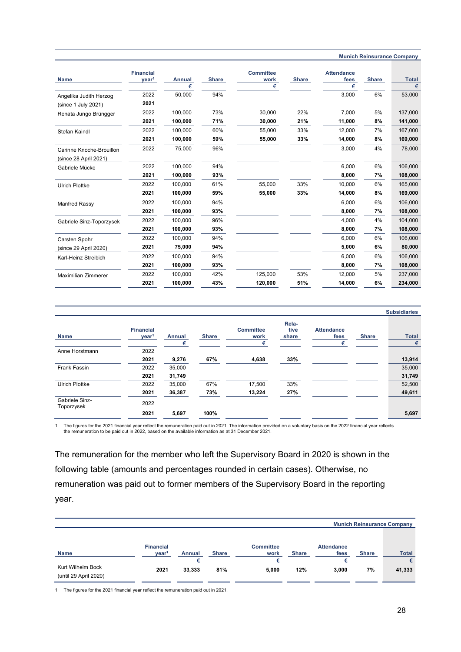|                                                   |                                       |                    |              |                               |              |                                |              | <b>Munich Reinsurance Company</b> |
|---------------------------------------------------|---------------------------------------|--------------------|--------------|-------------------------------|--------------|--------------------------------|--------------|-----------------------------------|
| <b>Name</b>                                       | <b>Financial</b><br>year <sup>1</sup> | <b>Annual</b><br>€ | <b>Share</b> | <b>Committee</b><br>work<br>€ | <b>Share</b> | <b>Attendance</b><br>fees<br>€ | <b>Share</b> | <b>Total</b><br>€                 |
| Angelika Judith Herzog                            | 2022                                  | 50,000             | 94%          |                               |              | 3,000                          | 6%           | 53,000                            |
| (since 1 July 2021)                               | 2021                                  |                    |              |                               |              |                                |              |                                   |
| Renata Jungo Brüngger                             | 2022                                  | 100.000            | 73%          | 30,000                        | 22%          | 7.000                          | 5%           | 137,000                           |
|                                                   | 2021                                  | 100,000            | 71%          | 30,000                        | 21%          | 11,000                         | 8%           | 141,000                           |
| Stefan Kaindl                                     | 2022                                  | 100,000            | 60%          | 55,000                        | 33%          | 12,000                         | 7%           | 167,000                           |
|                                                   | 2021                                  | 100,000            | 59%          | 55,000                        | 33%          | 14,000                         | 8%           | 169,000                           |
| Carinne Knoche-Brouillon<br>(since 28 April 2021) | 2022                                  | 75,000             | 96%          |                               |              | 3,000                          | 4%           | 78,000                            |
| Gabriele Mücke                                    | 2022                                  | 100,000            | 94%          |                               |              | 6.000                          | 6%           | 106,000                           |
|                                                   | 2021                                  | 100,000            | 93%          |                               |              | 8,000                          | 7%           | 108,000                           |
| <b>Ulrich Plottke</b>                             | 2022                                  | 100,000            | 61%          | 55,000                        | 33%          | 10,000                         | 6%           | 165,000                           |
|                                                   | 2021                                  | 100.000            | 59%          | 55,000                        | 33%          | 14,000                         | 8%           | 169,000                           |
| Manfred Rassy                                     | 2022                                  | 100.000            | 94%          |                               |              | 6.000                          | 6%           | 106,000                           |
|                                                   | 2021                                  | 100,000            | 93%          |                               |              | 8,000                          | 7%           | 108,000                           |
| Gabriele Sinz-Toporzysek                          | 2022                                  | 100.000            | 96%          |                               |              | 4,000                          | 4%           | 104,000                           |
|                                                   | 2021                                  | 100,000            | 93%          |                               |              | 8,000                          | 7%           | 108,000                           |
| Carsten Spohr                                     | 2022                                  | 100,000            | 94%          |                               |              | 6.000                          | 6%           | 106,000                           |
| (since 29 April 2020)                             | 2021                                  | 75,000             | 94%          |                               |              | 5,000                          | 6%           | 80,000                            |
| Karl-Heinz Streibich                              | 2022                                  | 100,000            | 94%          |                               |              | 6,000                          | 6%           | 106,000                           |
|                                                   | 2021                                  | 100,000            | 93%          |                               |              | 8,000                          | 7%           | 108,000                           |
| <b>Maximilian Zimmerer</b>                        | 2022                                  | 100,000            | 42%          | 125,000                       | 53%          | 12,000                         | 5%           | 237,000                           |
|                                                   | 2021                                  | 100,000            | 43%          | 120,000                       | 51%          | 14,000                         | 6%           | 234,000                           |

|                              |                                       |        |              |                          |                        |                           |              | <b>Subsidiaries</b> |
|------------------------------|---------------------------------------|--------|--------------|--------------------------|------------------------|---------------------------|--------------|---------------------|
| <b>Name</b>                  | <b>Financial</b><br>year <sup>1</sup> | Annual | <b>Share</b> | <b>Committee</b><br>work | Rela-<br>tive<br>share | <b>Attendance</b><br>fees | <b>Share</b> | <b>Total</b>        |
| Anne Horstmann               | 2022                                  | €      |              | €                        |                        | €                         |              | €                   |
|                              | 2021                                  | 9,276  | 67%          | 4,638                    | 33%                    |                           |              | 13,914              |
| Frank Fassin                 | 2022                                  | 35,000 |              |                          |                        |                           |              | 35,000              |
|                              | 2021                                  | 31,749 |              |                          |                        |                           |              | 31,749              |
| <b>Ulrich Plottke</b>        | 2022                                  | 35,000 | 67%          | 17,500                   | 33%                    |                           |              | 52,500              |
|                              | 2021                                  | 36,387 | 73%          | 13,224                   | 27%                    |                           |              | 49,611              |
| Gabriele Sinz-<br>Toporzysek | 2022                                  |        |              |                          |                        |                           |              |                     |
|                              | 2021                                  | 5,697  | 100%         |                          |                        |                           |              | 5,697               |

The figures for the 2021 financial year reflect the remuneration paid out in 2021. The information provided on a voluntary basis on the 2022 financial year reflects<br>the remuneration to be paid out in 2022, based on the ava

The remuneration for the member who left the Supervisory Board in 2020 is shown in the following table (amounts and percentages rounded in certain cases). Otherwise, no remuneration was paid out to former members of the Supervisory Board in the reporting year.

|                       |                   |               |              |                  |              |                   |              | <b>Munich Reinsurance Company</b> |
|-----------------------|-------------------|---------------|--------------|------------------|--------------|-------------------|--------------|-----------------------------------|
|                       | <b>Financial</b>  |               |              | <b>Committee</b> |              | <b>Attendance</b> |              |                                   |
| <b>Name</b>           | year <sup>1</sup> | <b>Annual</b> | <b>Share</b> | work             | <b>Share</b> | fees              | <b>Share</b> | <b>Total</b>                      |
|                       |                   |               |              | €                |              |                   |              | €                                 |
| Kurt Wilhelm Bock     | 2021              | 33,333        | 81%          | 5,000            | 12%          | 3,000             | 7%           | 41,333                            |
| (until 29 April 2020) |                   |               |              |                  |              |                   |              |                                   |

1 The figures for the 2021 financial year reflect the remuneration paid out in 2021.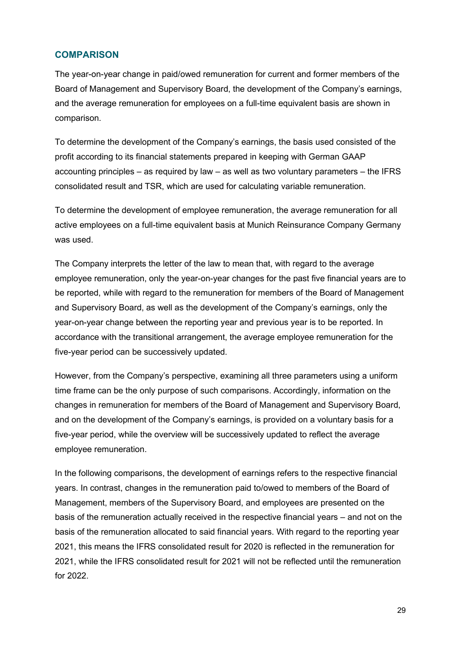### **COMPARISON**

The year-on-year change in paid/owed remuneration for current and former members of the Board of Management and Supervisory Board, the development of the Company's earnings, and the average remuneration for employees on a full-time equivalent basis are shown in comparison.

To determine the development of the Company's earnings, the basis used consisted of the profit according to its financial statements prepared in keeping with German GAAP accounting principles – as required by law – as well as two voluntary parameters – the IFRS consolidated result and TSR, which are used for calculating variable remuneration.

To determine the development of employee remuneration, the average remuneration for all active employees on a full-time equivalent basis at Munich Reinsurance Company Germany was used.

The Company interprets the letter of the law to mean that, with regard to the average employee remuneration, only the year-on-year changes for the past five financial years are to be reported, while with regard to the remuneration for members of the Board of Management and Supervisory Board, as well as the development of the Company's earnings, only the year-on-year change between the reporting year and previous year is to be reported. In accordance with the transitional arrangement, the average employee remuneration for the five-year period can be successively updated.

However, from the Company's perspective, examining all three parameters using a uniform time frame can be the only purpose of such comparisons. Accordingly, information on the changes in remuneration for members of the Board of Management and Supervisory Board, and on the development of the Company's earnings, is provided on a voluntary basis for a five-year period, while the overview will be successively updated to reflect the average employee remuneration.

In the following comparisons, the development of earnings refers to the respective financial years. In contrast, changes in the remuneration paid to/owed to members of the Board of Management, members of the Supervisory Board, and employees are presented on the basis of the remuneration actually received in the respective financial years – and not on the basis of the remuneration allocated to said financial years. With regard to the reporting year 2021, this means the IFRS consolidated result for 2020 is reflected in the remuneration for 2021, while the IFRS consolidated result for 2021 will not be reflected until the remuneration for 2022.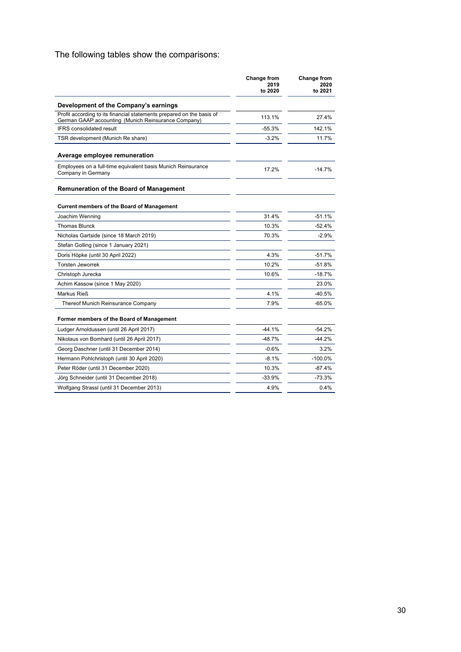### The following tables show the comparisons:

|                                                                                                                              | Change from<br>2019<br>to 2020 | <b>Change from</b><br>2020<br>to 2021 |
|------------------------------------------------------------------------------------------------------------------------------|--------------------------------|---------------------------------------|
| Development of the Company's earnings                                                                                        |                                |                                       |
| Profit according to its financial statements prepared on the basis of<br>German GAAP accounting (Munich Reinsurance Company) | 113.1%                         | 27.4%                                 |
| <b>IFRS</b> consolidated result                                                                                              | $-55.3%$                       | 142.1%                                |
| TSR development (Munich Re share)                                                                                            | $-3.2%$                        | 11.7%                                 |
| Average employee remuneration                                                                                                |                                |                                       |
| Employees on a full-time equivalent basis Munich Reinsurance<br>Company in Germany                                           | 17.2%                          | $-14.7%$                              |
| <b>Remuneration of the Board of Management</b>                                                                               |                                |                                       |
| <b>Current members of the Board of Management</b>                                                                            |                                |                                       |
| Joachim Wenning                                                                                                              | 31.4%                          | $-51.1%$                              |
| <b>Thomas Blunck</b>                                                                                                         | 10.3%                          | $-52.4%$                              |
| Nicholas Gartside (since 18 March 2019)                                                                                      | 70.3%                          | $-2.9%$                               |
| Stefan Golling (since 1 January 2021)                                                                                        |                                |                                       |
| Doris Höpke (until 30 April 2022)                                                                                            | 4.3%                           | $-51.7%$                              |
| <b>Torsten Jeworrek</b>                                                                                                      | 10.2%                          | $-51.8%$                              |
| Christoph Jurecka                                                                                                            | 10.6%                          | $-18.7%$                              |
| Achim Kassow (since 1 May 2020)                                                                                              |                                | 23.0%                                 |
| Markus Rieß                                                                                                                  | 4.1%                           | $-40.5%$                              |
| Thereof Munich Reinsurance Company                                                                                           | 7.9%                           | $-65.0%$                              |
| Former members of the Board of Management                                                                                    |                                |                                       |
| Ludger Arnoldussen (until 26 April 2017)                                                                                     | $-44.1%$                       | $-54.2%$                              |
| Nikolaus von Bomhard (until 26 April 2017)                                                                                   | $-48.7%$                       | $-44.2%$                              |
| Georg Daschner (until 31 December 2014)                                                                                      | $-0.6%$                        | 3.2%                                  |
| Hermann Pohlchristoph (until 30 April 2020)                                                                                  | $-8.1%$                        | $-100.0\%$                            |
| Peter Röder (until 31 December 2020)                                                                                         | 10.3%                          | $-87.4%$                              |
| Jörg Schneider (until 31 December 2018)                                                                                      | $-33.9%$                       | $-73.3%$                              |
| Wolfgang Strassl (until 31 December 2013)                                                                                    | 4.9%                           | 0.4%                                  |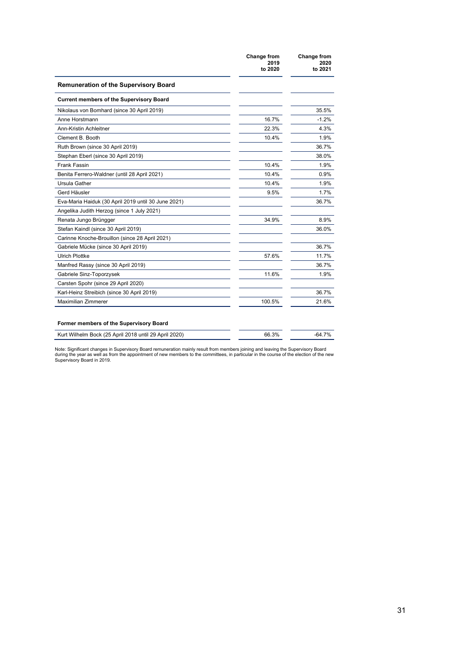|                                                     | Change from<br>2019<br>to 2020 | Change from<br>2020<br>to 2021 |
|-----------------------------------------------------|--------------------------------|--------------------------------|
| <b>Remuneration of the Supervisory Board</b>        |                                |                                |
| <b>Current members of the Supervisory Board</b>     |                                |                                |
| Nikolaus von Bomhard (since 30 April 2019)          |                                | 35.5%                          |
| Anne Horstmann                                      | 16.7%                          | $-1.2%$                        |
| Ann-Kristin Achleitner                              | 22.3%                          | 4.3%                           |
| Clement B. Booth                                    | 10.4%                          | 1.9%                           |
| Ruth Brown (since 30 April 2019)                    |                                | 36.7%                          |
| Stephan Eberl (since 30 April 2019)                 |                                | 38.0%                          |
| Frank Fassin                                        | 10.4%                          | 1.9%                           |
| Benita Ferrero-Waldner (until 28 April 2021)        | 10.4%                          | 0.9%                           |
| Ursula Gather                                       | 10.4%                          | 1.9%                           |
| Gerd Häusler                                        | 9.5%                           | 1.7%                           |
| Eva-Maria Haiduk (30 April 2019 until 30 June 2021) |                                | 36.7%                          |
| Angelika Judith Herzog (since 1 July 2021)          |                                |                                |
| Renata Jungo Brüngger                               | 34.9%                          | 8.9%                           |
| Stefan Kaindl (since 30 April 2019)                 |                                | 36.0%                          |
| Carinne Knoche-Brouillon (since 28 April 2021)      |                                |                                |
| Gabriele Mücke (since 30 April 2019)                |                                | 36.7%                          |
| <b>Ulrich Plottke</b>                               | 57.6%                          | 11.7%                          |
| Manfred Rassy (since 30 April 2019)                 |                                | 36.7%                          |
| Gabriele Sinz-Toporzysek                            | 11.6%                          | 1.9%                           |
| Carsten Spohr (since 29 April 2020)                 |                                |                                |
| Karl-Heinz Streibich (since 30 April 2019)          |                                | 36.7%                          |
| <b>Maximilian Zimmerer</b>                          | 100.5%                         | 21.6%                          |

| Kurt Wilhelm Bock (25 April 2018 until 29 April 2020) | 66.3% | $-64.7%$ |
|-------------------------------------------------------|-------|----------|
|                                                       |       |          |

Note: Significant changes in Supervisory Board remuneration mainly result from members joining and leaving the Supervisory Board<br>during the year as well as from the appointment of new members to the committees, in particul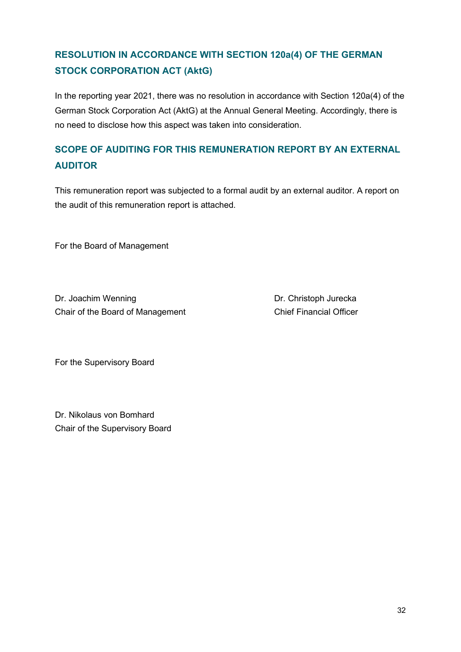## **RESOLUTION IN ACCORDANCE WITH SECTION 120a(4) OF THE GERMAN STOCK CORPORATION ACT (AktG)**

In the reporting year 2021, there was no resolution in accordance with Section 120a(4) of the German Stock Corporation Act (AktG) at the Annual General Meeting. Accordingly, there is no need to disclose how this aspect was taken into consideration.

## **SCOPE OF AUDITING FOR THIS REMUNERATION REPORT BY AN EXTERNAL AUDITOR**

This remuneration report was subjected to a formal audit by an external auditor. A report on the audit of this remuneration report is attached.

For the Board of Management

Dr. Joachim Wenning **Dr. Christoph Jurecka** Chair of the Board of Management Chief Financial Officer

For the Supervisory Board

Dr. Nikolaus von Bomhard Chair of the Supervisory Board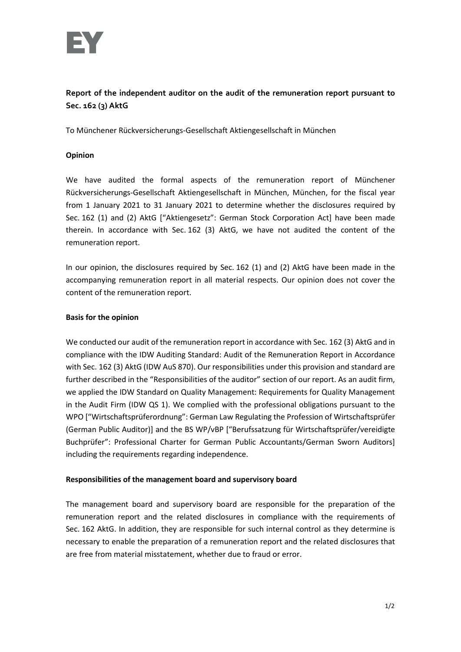

### **Report of the independent auditor on the audit of the remuneration report pursuant to Sec. 162 (3) AktG**

To Münchener Rückversicherungs-Gesellschaft Aktiengesellschaft in München

#### **Opinion**

We have audited the formal aspects of the remuneration report of Münchener Rückversicherungs-Gesellschaft Aktiengesellschaft in München, München, for the fiscal year from 1 January 2021 to 31 January 2021 to determine whether the disclosures required by Sec. 162 (1) and (2) AktG ["Aktiengesetz": German Stock Corporation Act] have been made therein. In accordance with Sec. 162 (3) AktG, we have not audited the content of the remuneration report.

In our opinion, the disclosures required by Sec. 162 (1) and (2) AktG have been made in the accompanying remuneration report in all material respects. Our opinion does not cover the content of the remuneration report.

#### **Basis for the opinion**

We conducted our audit of the remuneration report in accordance with Sec. 162 (3) AktG and in compliance with the IDW Auditing Standard: Audit of the Remuneration Report in Accordance with Sec. 162 (3) AktG (IDW AuS 870). Our responsibilities under this provision and standard are further described in the "Responsibilities of the auditor" section of our report. As an audit firm, we applied the IDW Standard on Quality Management: Requirements for Quality Management in the Audit Firm (IDW QS 1). We complied with the professional obligations pursuant to the WPO ["Wirtschaftsprüferordnung": German Law Regulating the Profession of Wirtschaftsprüfer (German Public Auditor)] and the BS WP/vBP ["Berufssatzung für Wirtschaftsprüfer/vereidigte Buchprüfer": Professional Charter for German Public Accountants/German Sworn Auditors] including the requirements regarding independence.

#### **Responsibilities of the management board and supervisory board**

The management board and supervisory board are responsible for the preparation of the remuneration report and the related disclosures in compliance with the requirements of Sec. 162 AktG. In addition, they are responsible for such internal control as they determine is necessary to enable the preparation of a remuneration report and the related disclosures that are free from material misstatement, whether due to fraud or error.